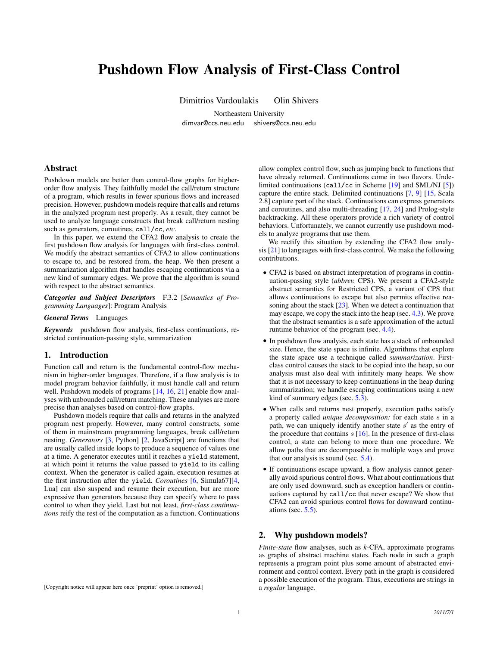# Pushdown Flow Analysis of First-Class Control

Dimitrios Vardoulakis Olin Shivers

Northeastern University dimvar@ccs.neu.edu shivers@ccs.neu.edu

# Abstract

Pushdown models are better than control-flow graphs for higherorder flow analysis. They faithfully model the call/return structure of a program, which results in fewer spurious flows and increased precision. However, pushdown models require that calls and returns in the analyzed program nest properly. As a result, they cannot be used to analyze language constructs that break call/return nesting such as generators, coroutines, call/cc, *etc*.

In this paper, we extend the CFA2 flow analysis to create the first pushdown flow analysis for languages with first-class control. We modify the abstract semantics of CFA2 to allow continuations to escape to, and be restored from, the heap. We then present a summarization algorithm that handles escaping continuations via a new kind of summary edges. We prove that the algorithm is sound with respect to the abstract semantics.

*Categories and Subject Descriptors* F.3.2 [*Semantics of Programming Languages*]: Program Analysis

*General Terms* Languages

*Keywords* pushdown flow analysis, first-class continuations, restricted continuation-passing style, summarization

### 1. Introduction

Function call and return is the fundamental control-flow mechanism in higher-order languages. Therefore, if a flow analysis is to model program behavior faithfully, it must handle call and return well. Pushdown models of programs [\[14,](#page-11-0) [16,](#page-11-1) [21\]](#page-11-2) enable flow analyses with unbounded call/return matching. These analyses are more precise than analyses based on control-flow graphs.

Pushdown models require that calls and returns in the analyzed program nest properly. However, many control constructs, some of them in mainstream programming languages, break call/return nesting. *Generators* [\[3,](#page-10-0) Python] [\[2,](#page-10-1) JavaScript] are functions that are usually called inside loops to produce a sequence of values one at a time. A generator executes until it reaches a yield statement, at which point it returns the value passed to yield to its calling context. When the generator is called again, execution resumes at the first instruction after the yield. *Coroutines* [\[6,](#page-11-3) Simula67][\[4,](#page-11-4) Lua] can also suspend and resume their execution, but are more expressive than generators because they can specify where to pass control to when they yield. Last but not least, *first-class continuations* reify the rest of the computation as a function. Continuations

[Copyright notice will appear here once 'preprint' option is removed.]

allow complex control flow, such as jumping back to functions that have already returned. Continuations come in two flavors. Undelimited continuations (call/cc in Scheme [\[19\]](#page-11-5) and SML/NJ [\[5\]](#page-11-6)) capture the entire stack. Delimited continuations [\[7,](#page-11-7) [9\]](#page-11-8) [\[15,](#page-11-9) Scala 2.8] capture part of the stack. Continuations can express generators and coroutines, and also multi-threading [\[17,](#page-11-10) [24\]](#page-11-11) and Prolog-style backtracking. All these operators provide a rich variety of control behaviors. Unfortunately, we cannot currently use pushdown models to analyze programs that use them.

We rectify this situation by extending the CFA2 flow analysis [\[21\]](#page-11-2) to languages with first-class control. We make the following contributions.

- CFA2 is based on abstract interpretation of programs in continuation-passing style (*abbrev.* CPS). We present a CFA2-style abstract semantics for Restricted CPS, a variant of CPS that allows continuations to escape but also permits effective rea-soning about the stack [\[23\]](#page-11-12). When we detect a continuation that may escape, we copy the stack into the heap (sec. [4.3\)](#page-3-0). We prove that the abstract semantics is a safe approximation of the actual runtime behavior of the program (sec. [4.4\)](#page-5-0).
- In pushdown flow analysis, each state has a stack of unbounded size. Hence, the state space is infinite. Algorithms that explore the state space use a technique called *summarization*. Firstclass control causes the stack to be copied into the heap, so our analysis must also deal with infinitely many heaps. We show that it is not necessary to keep continuations in the heap during summarization; we handle escaping continuations using a new kind of summary edges (sec. [5.3\)](#page-7-0).
- When calls and returns nest properly, execution paths satisfy a property called *unique decomposition:* for each state s in a path, we can uniquely identify another state  $s'$  as the entry of the procedure that contains  $s$  [\[16\]](#page-11-1). In the presence of first-class control, a state can belong to more than one procedure. We allow paths that are decomposable in multiple ways and prove that our analysis is sound (sec. [5.4\)](#page-9-0).
- If continuations escape upward, a flow analysis cannot generally avoid spurious control flows. What about continuations that are only used downward, such as exception handlers or continuations captured by call/cc that never escape? We show that CFA2 can avoid spurious control flows for downward continuations (sec.  $5.5$ ).

### 2. Why pushdown models?

*Finite-state* flow analyses, such as *k*-CFA, approximate programs as graphs of abstract machine states. Each node in such a graph represents a program point plus some amount of abstracted environment and control context. Every path in the graph is considered a possible execution of the program. Thus, executions are strings in a *regular* language.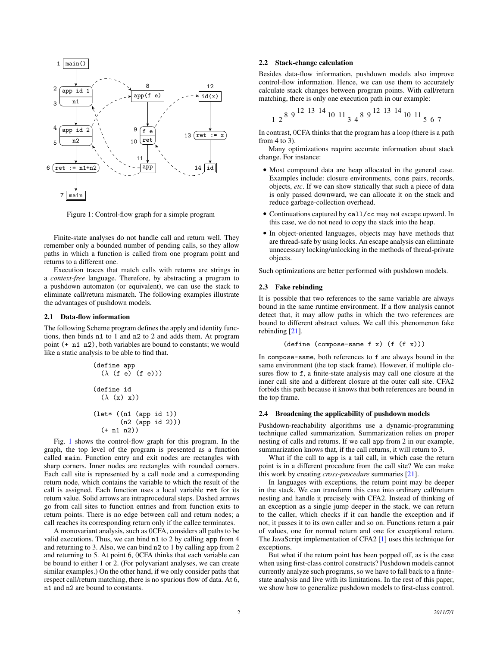

<span id="page-1-0"></span>Figure 1: Control-flow graph for a simple program

Finite-state analyses do not handle call and return well. They remember only a bounded number of pending calls, so they allow paths in which a function is called from one program point and returns to a different one.

Execution traces that match calls with returns are strings in a *context-free* language. Therefore, by abstracting a program to a pushdown automaton (or equivalent), we can use the stack to eliminate call/return mismatch. The following examples illustrate the advantages of pushdown models.

### 2.1 Data-flow information

The following Scheme program defines the apply and identity functions, then binds n1 to 1 and n2 to 2 and adds them. At program point (+ n1 n2), both variables are bound to constants; we would like a static analysis to be able to find that.

```
(define app\n   
$$
(\lambda \text{ (f e) (f e)))
$$
\n\n(define id\n    $(\lambda \text{ (x) x})$ \n\n(let* ((n1 (app id 1))\n       (n2 (app id 2)))\n       (+ n1 n2))
```

Fig. [1](#page-1-0) shows the control-flow graph for this program. In the graph, the top level of the program is presented as a function called main. Function entry and exit nodes are rectangles with sharp corners. Inner nodes are rectangles with rounded corners. Each call site is represented by a call node and a corresponding return node, which contains the variable to which the result of the call is assigned. Each function uses a local variable ret for its return value. Solid arrows are intraprocedural steps. Dashed arrows go from call sites to function entries and from function exits to return points. There is no edge between call and return nodes; a call reaches its corresponding return only if the callee terminates.

A monovariant analysis, such as 0CFA, considers all paths to be valid executions. Thus, we can bind n1 to 2 by calling app from 4 and returning to 3. Also, we can bind n2 to 1 by calling app from 2 and returning to 5. At point 6, 0CFA thinks that each variable can be bound to either 1 or 2. (For polyvariant analyses, we can create similar examples.) On the other hand, if we only consider paths that respect call/return matching, there is no spurious flow of data. At 6, n1 and n2 are bound to constants.

### 2.2 Stack-change calculation

Besides data-flow information, pushdown models also improve control-flow information. Hence, we can use them to accurately calculate stack changes between program points. With call/return matching, there is only one execution path in our example:

$$
1 \ 2^{\,8\ 9} \,\overset{12}{\,13} \,\overset{13}{\,14} \,\overset{14}{\,10} \,\overset{11}{\,13} \,\overset{4}{\,4} \,\overset{8}{\,9} \,\overset{12}{\,13} \,\overset{13}{\,14} \,\overset{14}{\,10} \,\overset{11}{\,11} \,\overset{5}{\,5} \,\overset{6}{\,7}
$$

In contrast, 0CFA thinks that the program has a loop (there is a path from 4 to 3).

Many optimizations require accurate information about stack change. For instance:

- Most compound data are heap allocated in the general case. Examples include: closure environments, cons pairs, records, objects, *etc*. If we can show statically that such a piece of data is only passed downward, we can allocate it on the stack and reduce garbage-collection overhead.
- Continuations captured by call/cc may not escape upward. In this case, we do not need to copy the stack into the heap.
- In object-oriented languages, objects may have methods that are thread-safe by using locks. An escape analysis can eliminate unnecessary locking/unlocking in the methods of thread-private objects.

Such optimizations are better performed with pushdown models.

# <span id="page-1-1"></span>2.3 Fake rebinding

It is possible that two references to the same variable are always bound in the same runtime environment. If a flow analysis cannot detect that, it may allow paths in which the two references are bound to different abstract values. We call this phenomenon fake rebinding [\[21\]](#page-11-2).

```
(define (compose-same f x) (f (f x)))
```
In compose-same, both references to f are always bound in the same environment (the top stack frame). However, if multiple closures flow to f, a finite-state analysis may call one closure at the inner call site and a different closure at the outer call site. CFA2 forbids this path because it knows that both references are bound in the top frame.

### <span id="page-1-2"></span>2.4 Broadening the applicability of pushdown models

Pushdown-reachability algorithms use a dynamic-programming technique called summarization. Summarization relies on proper nesting of calls and returns. If we call app from 2 in our example, summarization knows that, if the call returns, it will return to 3.

What if the call to app is a tail call, in which case the return point is in a different procedure from the call site? We can make this work by creating *cross-procedure* summaries [\[21\]](#page-11-2).

In languages with exceptions, the return point may be deeper in the stack. We can transform this case into ordinary call/return nesting and handle it precisely with CFA2. Instead of thinking of an exception as a single jump deeper in the stack, we can return to the caller, which checks if it can handle the exception and if not, it passes it to its own caller and so on. Functions return a pair of values, one for normal return and one for exceptional return. The JavaScript implementation of CFA2 [\[1\]](#page-10-2) uses this technique for exceptions.

But what if the return point has been popped off, as is the case when using first-class control constructs? Pushdown models cannot currently analyze such programs, so we have to fall back to a finitestate analysis and live with its limitations. In the rest of this paper, we show how to generalize pushdown models to first-class control.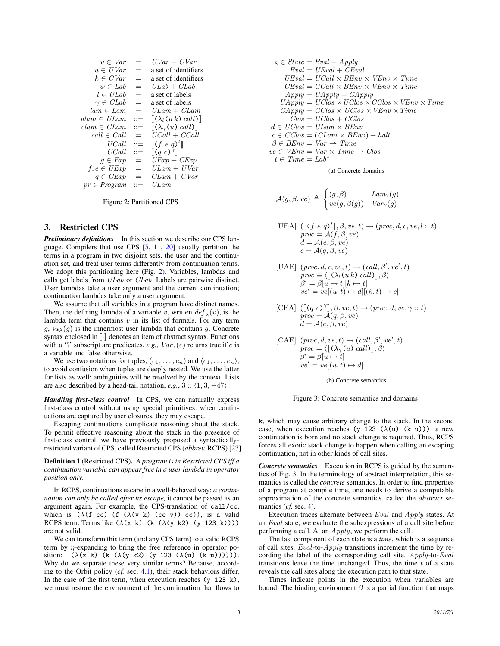| $v \in Var$       | $=$   | $UVar + CVar$                                                 |
|-------------------|-------|---------------------------------------------------------------|
| $u \in UVar$      | $=$   | a set of identifiers                                          |
| $k \in CVar$      | $=$   | a set of identifiers                                          |
| $\psi \in Lab$    | $=$   | $ULab + CLab$                                                 |
| $l \in ULab$      | $=$   | a set of labels                                               |
| $\gamma \in CLab$ | $=$   | a set of labels                                               |
| $lam \in Lam$     | $=$   | $ULam + CLam$                                                 |
| $ulam \in ULam$   | $::=$ | $\llbracket (\lambda_l(u_k) \; \text{call}) \rrbracket$       |
| $clam \in CLam$   | $::=$ | $\llbracket (\lambda_\gamma(u) \; \text{call}) \rrbracket$    |
| $call \in Call$   | $=$   | $UCall + CCall$                                               |
| UCall             | $::=$ | $\llbracket (f \ e \ q)^l \rrbracket$                         |
| CCall             | $::=$ | $\left[ \begin{pmatrix} q & e \end{pmatrix}^{\gamma} \right]$ |
| $q \in Exp$       | $=$   | $UExp + CExp$                                                 |
| $f, e \in UExp$   | $=$   | $ULam + UVar$                                                 |
| $q \in CExp$      | $=$   | $CLam + CVar$                                                 |
| $pr \in Program$  | ∷≕    | ULam                                                          |

<span id="page-2-0"></span>Figure 2: Partitioned CPS

# 3. Restricted CPS

*Preliminary definitions* In this section we describe our CPS language. Compilers that use CPS [\[5,](#page-11-6) [11,](#page-11-13) [20\]](#page-11-14) usually partition the terms in a program in two disjoint sets, the user and the continuation set, and treat user terms differently from continuation terms. We adopt this partitioning here (Fig. [2\)](#page-2-0). Variables, lambdas and calls get labels from ULab or CLab. Labels are pairwise distinct. User lambdas take a user argument and the current continuation; continuation lambdas take only a user argument.

We assume that all variables in a program have distinct names. Then, the defining lambda of a variable v, written  $\det_{\lambda}(v)$ , is the lambda term that contains  $v$  in its list of formals. For any term  $g, iu_{\lambda}(q)$  is the innermost user lambda that contains q. Concrete syntax enclosed in  $\lbrack \cdot \rbrack$  denotes an item of abstract syntax. Functions with a '?' subscript are predicates,  $e.g., Var_?(e)$  returns true if  $e$  is a variable and false otherwise.

We use two notations for tuples,  $(e_1, \ldots, e_n)$  and  $\langle e_1, \ldots, e_n \rangle$ , to avoid confusion when tuples are deeply nested. We use the latter for lists as well; ambiguities will be resolved by the context. Lists are also described by a head-tail notation,  $e.g., 3 :: \langle 1, 3, -47 \rangle$ .

*Handling first-class control* In CPS, we can naturally express first-class control without using special primitives: when continuations are captured by user closures, they may escape.

Escaping continuations complicate reasoning about the stack. To permit effective reasoning about the stack in the presence of first-class control, we have previously proposed a syntacticallyrestricted variant of CPS, called Restricted CPS (*abbrev.* RCPS) [\[23\]](#page-11-12).

Definition 1 (Restricted CPS). *A program is in Restricted CPS iff a continuation variable can appear free in a user lambda in operator position only.*

In RCPS, continuations escape in a well-behaved way: *a continuation can only be called after its escape,* it cannot be passed as an argument again. For example, the CPS-translation of call/cc, which is  $(\lambda(f \ncc) (f (\lambda(v k) (cc v)) cc))$ , is a valid RCPS term. Terms like  $(\lambda(x k)$  (k  $(\lambda(y k2) (y 123 k)))$ ) are not valid.

We can transform this term (and any CPS term) to a valid RCPS term by  $\eta$ -expanding to bring the free reference in operator position:  $(\lambda(x k) (k (\lambda(y k2) (y 123 (\lambda(u) (k u))))))$ . Why do we separate these very similar terms? Because, according to the Orbit policy (*cf.* sec. [4.1\)](#page-3-1), their stack behaviors differ. In the case of the first term, when execution reaches  $(y 123 k)$ , we must restore the environment of the continuation that flows to

$$
\zeta \in State =Eval + Apply
$$
  
\n
$$
Eval = UEval + CEval
$$
  
\n
$$
UEval = UCall \times BEnv \times VEnv \times Time
$$
  
\n
$$
CEval = CCall \times BEnv \times VEnv \times Time
$$
  
\n
$$
Apply = UApply + CApply
$$
  
\n
$$
UApply = UClos \times UClos \times CClos \times VEnv \times Time
$$
  
\n
$$
CApply = CClos \times UClos \times VEnv \times Time
$$
  
\n
$$
Clos = UClos + CClos
$$
  
\n
$$
d \in UClos = ULam \times BEnv
$$
  
\n
$$
c \in CClos = (CLam \times BEnv) + halt
$$
  
\n
$$
\beta \in BEnv = Var \rightarrow Time
$$
  
\n
$$
ve \in VEnv = Var \times Time \rightarrow Clos
$$
  
\n
$$
t \in Time = Lab*
$$

(a) Concrete domains

$$
\mathcal{A}(g,\beta,ve) \,\triangleq\, \begin{cases} (g,\beta) & \mathit{Lam}_? (g) \\ ve(g,\beta(g)) & \mathit{Var}_? (g) \end{cases}
$$

[UEA] 
$$
([\![ (f e q)^l ]\!], \beta, ve, t) \rightarrow (proc, d, c, ve, l :: t)
$$
  
\n
$$
proc = \mathcal{A}(f, \beta, ve)
$$
  
\n
$$
d = \mathcal{A}(e, \beta, ve)
$$
  
\n
$$
c = \mathcal{A}(q, \beta, ve)
$$

$$
\begin{array}{ll} [\mathbf{UAE}] \ \ (proc, d, c, ve, t) \rightarrow (call, \beta', ve', t) \\ proc \equiv \langle [\![ (\lambda_l(u k) \ call) ]\!], \beta \rangle \\ \beta' = \beta[u \mapsto t] [k \mapsto t] \\ ve' = ve[(u, t) \mapsto d] [(k, t) \mapsto c] \end{array}
$$

[CEA] 
$$
[[\mathbb{C}q \ e)^\gamma], \beta, ve, t) \to (proc, d, ve, \gamma :: t)
$$
  
\n
$$
proc = \mathcal{A}(q, \beta, ve)
$$
  
\n
$$
d = \mathcal{A}(e, \beta, ve)
$$

[CAE] 
$$
(proc, d, ve, t) \rightarrow (call, \beta', ve', t)
$$
  
\n $proc = \langle [[(\lambda_{\gamma}(u) call)]], \beta \rangle$   
\n $\beta' = \beta[u \rightarrow t]$   
\n $ve' = ve[(u, t) \rightarrow d]$ 

<span id="page-2-1"></span>(b) Concrete semantics



k, which may cause arbitrary change to the stack. In the second case, when execution reaches (y 123  $(\lambda(u)$  (k u))), a new continuation is born and no stack change is required. Thus, RCPS forces all exotic stack change to happen when calling an escaping continuation, not in other kinds of call sites.

*Concrete semantics* Execution in RCPS is guided by the semantics of Fig. [3.](#page-2-1) In the terminology of abstract interpretation, this semantics is called the *concrete* semantics. In order to find properties of a program at compile time, one needs to derive a computable approximation of the concrete semantics, called the *abstract* semantics (*cf.* sec. [4\)](#page-3-2).

Execution traces alternate between Eval and Apply states. At an Eval state, we evaluate the subexpressions of a call site before performing a call. At an  $Apply$ , we perform the call.

The last component of each state is a *time*, which is a sequence of call sites.  $Eval-to-Apply$  transitions increment the time by recording the label of the corresponding call site. Apply-to-Eval transitions leave the time unchanged. Thus, the time  $t$  of a state reveals the call sites along the execution path to that state.

Times indicate points in the execution when variables are bound. The binding environment  $\beta$  is a partial function that maps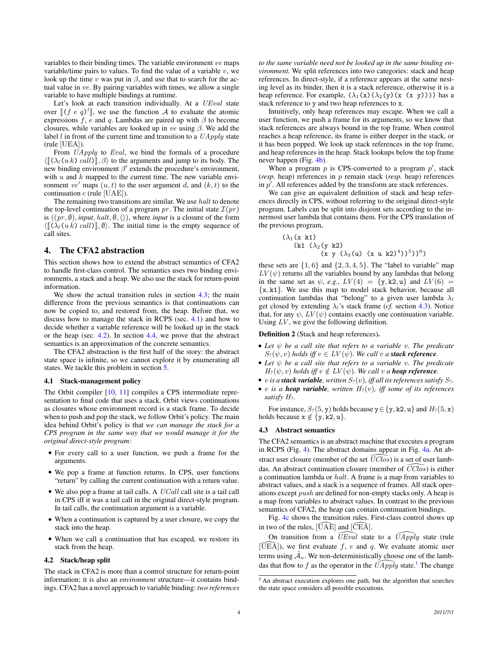variables to their binding times. The variable environment ve maps variable/time pairs to values. To find the value of a variable  $v$ , we look up the time v was put in  $\beta$ , and use that to search for the actual value in ve. By pairing variables with times, we allow a single variable to have multiple bindings at runtime.

Let's look at each transition individually. At a *UEval* state over  $[(f e q)^l]$ , we use the function A to evaluate the atomic<br>expressions  $f e$  and a Lambdas are paired up with B to become expressions f, e and q. Lambdas are paired up with  $\beta$  to become closures, while variables are looked up in ve using  $\beta$ . We add the label  $l$  in front of the current time and transition to a  $UApply$  state (rule [UEA]).

From *UApply* to *Eval*, we bind the formals of a procedure  $\langle \llbracket (\lambda_i(u k) \; \text{call}) \rrbracket, \beta \rangle$  to the arguments and jump to its body. The new binding environment  $\beta'$  extends the procedure's environment, with  $u$  and  $k$  mapped to the current time. The new variable environment ve' maps  $(u, t)$  to the user argument d, and  $(k, t)$  to the continuation  $c$  (rule [UAE]).

The remaining two transitions are similar. We use halt to denote the top-level continuation of a program pr. The initial state  $\mathcal{I}(pr)$ is  $((pr, \emptyset), input, halt, \emptyset, \langle \rangle)$ , where *input* is a closure of the form  $\langle \llbracket (\lambda_i(u k) \; \text{call}) \rrbracket, \emptyset \rangle$ . The initial time is the empty sequence of call sites.

# <span id="page-3-2"></span>4. The CFA2 abstraction

This section shows how to extend the abstract semantics of CFA2 to handle first-class control. The semantics uses two binding environments, a stack and a heap. We also use the stack for return-point information.

We show the actual transition rules in section [4.3;](#page-3-0) the main difference from the previous semantics is that continuations can now be copied to, and restored from, the heap. Before that, we discuss how to manage the stack in RCPS (sec. [4.1\)](#page-3-1) and how to decide whether a variable reference will be looked up in the stack or the heap (sec. [4.2\)](#page-3-3). In section [4.4,](#page-5-0) we prove that the abstract semantics is an approximation of the concrete semantics.

The CFA2 abstraction is the first half of the story: the abstract state space is infinite, so we cannot explore it by enumerating all states. We tackle this problem in section [5.](#page-6-0)

### <span id="page-3-1"></span>4.1 Stack-management policy

The Orbit compiler [\[10,](#page-11-15) [11\]](#page-11-13) compiles a CPS intermediate representation to final code that uses a stack. Orbit views continuations as closures whose environment record is a stack frame. To decide when to push and pop the stack, we follow Orbit's policy. The main idea behind Orbit's policy is that *we can manage the stack for a CPS program in the same way that we would manage it for the original direct-style program:*

- For every call to a user function, we push a frame for the arguments.
- We pop a frame at function returns. In CPS, user functions "return" by calling the current continuation with a return value.
- $\bullet$  We also pop a frame at tail calls. A  $UCall$  call site is a tail call in CPS iff it was a tail call in the original direct-style program. In tail calls, the continuation argument is a variable.
- When a continuation is captured by a user closure, we copy the stack into the heap.
- When we call a continuation that has escaped, we restore its stack from the heap.

### <span id="page-3-3"></span>4.2 Stack/heap split

The stack in CFA2 is more than a control structure for return-point information; it is also an *environment* structure—it contains bindings. CFA2 has a novel approach to variable binding: *two references* *to the same variable need not be looked up in the same binding environment.* We split references into two categories: stack and heap references. In direct-style, if a reference appears at the same nesting level as its binder, then it is a stack reference, otherwise it is a heap reference. For example,  $(\lambda_1(x)(\lambda_2(y)(x (x y))))$  has a stack reference to y and two heap references to x.

Intuitively, only heap references may escape. When we call a user function, we push a frame for its arguments, so we know that stack references are always bound in the top frame. When control reaches a heap reference, its frame is either deeper in the stack, or it has been popped. We look up stack references in the top frame, and heap references in the heap. Stack lookups below the top frame never happen (Fig. [4b\)](#page-4-0).

When a program  $p$  is CPS-converted to a program  $p'$ , stack (*resp.* heap) references in p remain stack (*resp.* heap) references in  $p'$ . All references added by the transform are stack references.

We can give an equivalent definition of stack and heap references directly in CPS, without referring to the original direct-style program. Labels can be split into disjoint sets according to the innermost user lambda that contains them. For the CPS translation of the previous program,

$$
(\lambda_1(x k1)
$$
  
\n
$$
(k1 (\lambda_2(y k2)
$$
  
\n
$$
(x y (\lambda_3(u) (x u k2)^4))^5))^6)
$$

these sets are  $\{1, 6\}$  and  $\{2, 3, 4, 5\}$ . The "label to variable" map  $LV(\psi)$  returns all the variables bound by any lambdas that belong in the same set as  $\psi$ , *e.g.*,  $LV(4) = \{y, k2, u\}$  and  $LV(6) =$  ${x, k1}$ . We use this map to model stack behavior, because all continuation lambdas that "belong" to a given user lambda  $\lambda_l$ get closed by extending  $\lambda_i$ 's stack frame (*cf.* section [4.3\)](#page-3-0). Notice that, for any  $\psi$ ,  $LV(\psi)$  contains exactly one continuation variable. Using  $LV$ , we give the following definition.

### Definition 2 (Stack and heap references).

- *Let* ψ *be a call site that refers to a variable* v*. The predicate*  $S_2(\psi, v)$  *holds iff*  $v \in LV(\psi)$ *. We call v a stack reference.*
- *Let* ψ *be a call site that refers to a variable* v*. The predicate*  $H_?(\psi, v)$  *holds iff*  $v \notin LV(\psi)$ *. We call*  $v$  *a heap reference.*
- *v is a stack variable, written*  $S_2(v)$ *, iff all its references satisfy*  $S_2$ *.*
- v *is a heap variable, written*  $H_2(v)$ *, iff some of its references satisfy* H?*.*

For instance,  $S_2(5, y)$  holds because  $y \in \{y, k2, u\}$  and  $H_2(5, x)$ holds because  $x \notin \{y, k2, u\}.$ 

### <span id="page-3-0"></span>4.3 Abstract semantics

The CFA2 semantics is an abstract machine that executes a program in RCPS (Fig. [4\)](#page-4-1). The abstract domains appear in Fig. [4a.](#page-4-2) An abstract user closure (member of the set  $\widehat{U}Cl\widehat{os}$ ) is a set of user lambdas. An abstract continuation closure (member of  $\widehat{CClos}$ ) is either a continuation lambda or halt. A frame is a map from variables to abstract values, and a stack is a sequence of frames. All stack operations except push are defined for non-empty stacks only. A heap is a map from variables to abstract values. In contrast to the previous semantics of CFA2, the heap can contain continuation bindings.

Fig. [4c](#page-4-3) shows the transition rules. First-class control shows up in two of the rules,  $[UAE]$  and  $[CEA]$ .

On transition from a  $\widehat{U}E\widehat{val}$  state to a  $\widehat{U}Apply$  state (rule  $[\text{UEA}]$ ), we first evaluate f, e and q. We evaluate atomic user terms using  $\hat{\mathcal{A}}_u$ . We non-deterministically choose one of the lambdas that flow to f as the operator in the  $\widehat{UApply}$  state.<sup>[1](#page-3-4)</sup> The change

<span id="page-3-4"></span><sup>&</sup>lt;sup>1</sup> An abstract execution explores one path, but the algorithm that searches the state space considers all possible executions.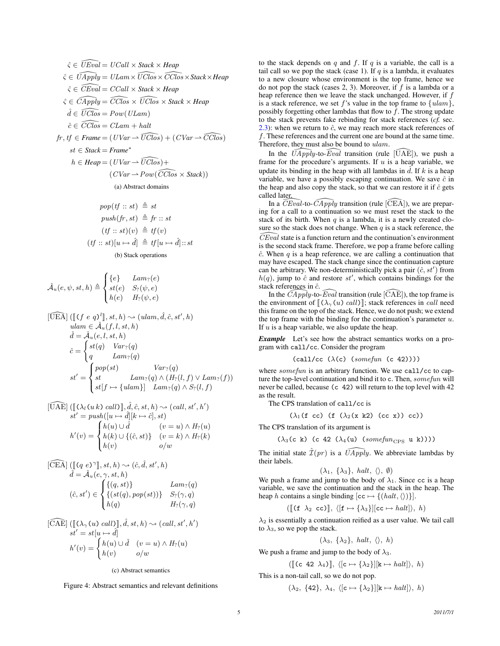<span id="page-4-2"></span>
$$
\hat{\zeta} \in \widehat{UEval} = UCall \times Stack \timesHeap
$$
\n
$$
\hat{\zeta} \in \widehat{UApply} = ULam \times \widehat{UClos} \times \widehat{CClos} \times Stack \timesHeap
$$
\n
$$
\hat{\zeta} \in \widehat{CEval} = CCall \times Stack \timesHeap
$$
\n
$$
\hat{\zeta} \in \widehat{CApply} = \widehat{CClos} \times \widehat{UClos} \times Stack \timesHeap
$$
\n
$$
\hat{d} \in \widehat{UClos} = \widehat{CClos} \times \widehat{UClos} \times Stack \timesHeap
$$
\n
$$
\hat{d} \in \widehat{UClos} = \widehat{CLam} + halt
$$
\n
$$
fr, tf \in Frame = (UVar \rightarrow \widehat{UClos}) + (CVar \rightarrow \widehat{CClos})
$$
\n
$$
st \in Stack = Frame^*
$$
\n
$$
h \inHeap = (UVar \rightarrow \widehat{UClos}) + (\widehat{CVas} \times Stack))
$$
\n(a) Abstract domains

<span id="page-4-0"></span>
$$
pop(tf :: st) \triangleq st
$$
  
\n
$$
push(fr, st) \triangleq fr :: st
$$
  
\n
$$
(tf :: st)(v) \triangleq tf(v)
$$
  
\n
$$
(tf :: st)[u \mapsto \hat{d}] \triangleq tf[u \mapsto \hat{d}] :: st
$$
  
\n(b) Stack operations

<span id="page-4-3"></span>
$$
\hat{\mathcal{A}}_u(e, \psi, st, h) \triangleq \begin{cases} \{e\} & \text{Lam}_?(e) \\ st(e) & S_?(\psi, e) \\ h(e) & H_?(\psi, e) \end{cases}
$$
  
[UEA] ([[ $(f e q)^l$ ]],  $st, h) \sim (ulam, \hat{d}, \hat{c}, st', h)$ 

$$
d = \hat{\mathcal{A}}_u(f, l, st, h)
$$
  
\n
$$
\hat{d} = \hat{\mathcal{A}}_u(e, l, st, h)
$$
  
\n
$$
\hat{c} = \begin{cases} st(q) & Var_?(q) \\ q & Lam_?(q) \end{cases}
$$
  
\n
$$
st' = \begin{cases} pop(st) & Var_?(q) \\ st & Lam_?(q) \land (H_?(l, f) \lor Lam_?(f)) \\ st[f \mapsto \{ulam\}] & Lam_?(q) \land S_?(l, f) \end{cases}
$$

$$
[\widehat{UAE}] (\llbracket (\lambda_l(u_k) \; call) \rrbracket, \hat{d}, \hat{c}, st, h) \sim (call, st', h')
$$
  

$$
st' = push([u \mapsto \hat{d}][k \mapsto \hat{c}], st)
$$
  

$$
h'(v) = \begin{cases} h(u) \cup \hat{d} & (v = u) \wedge H_?(u) \\ h(k) \cup \{(\hat{c}, st)\} & (v = k) \wedge H_?(k) \\ h(v) & o/w \end{cases}
$$

$$
[\widehat{CEA}] \left( [\![ (q \ e)^{\gamma} ]\!], st, h \right) \rightsquigarrow (\hat{c}, \hat{d}, st', h)
$$
  

$$
\hat{d} = \hat{\mathcal{A}}_u(e, \gamma, st, h)
$$
  

$$
(\hat{c}, st') \in \begin{cases} \{(q, st)\} & \text{Lam}_?(q) \\ \{(st(q), pop(st))\} & S_?(\gamma, q) \\ h(q) & H_?(\gamma, q) \end{cases}
$$

$$
[\widehat{CAE}] \left( [\![ (\lambda_{\gamma}(u) \; call ) ]\!], \hat{d}, st, h) \rightsquigarrow (call, st', h')\n st' = st[u \mapsto \hat{d}]\n \n h'(v) =\n \begin{cases}\n h(u) \cup \hat{d} & (v = u) \land H_?(u) \\
 h(v) & o/w\n \end{cases}
$$

<span id="page-4-1"></span>(c) Abstract semantics

Figure 4: Abstract semantics and relevant definitions

to the stack depends on  $q$  and  $f$ . If  $q$  is a variable, the call is a tail call so we pop the stack (case 1). If  $q$  is a lambda, it evaluates to a new closure whose environment is the top frame, hence we do not pop the stack (cases 2, 3). Moreover, if  $f$  is a lambda or a heap reference then we leave the stack unchanged. However, if f is a stack reference, we set f's value in the top frame to  ${ulam}$ , possibly forgetting other lambdas that flow to  $f$ . The strong update to the stack prevents fake rebinding for stack references (*cf.* sec. [2.3\)](#page-1-1): when we return to  $\hat{c}$ , we may reach more stack references of f. These references and the current one are bound at the same time. Therefore, they must also be bound to  $ulam$ .

In the  $\widehat{UApply}$ -to-Eval transition (rule  $[\widehat{UAE}]$ ), we push a frame for the procedure's arguments. If  $u$  is a heap variable, we update its binding in the heap with all lambdas in  $\hat{d}$ . If k is a heap variable, we have a possibly escaping continuation. We save  $\hat{c}$  in the heap and also copy the stack, so that we can restore it if  $\hat{c}$  gets called later.

In a CEval-to-CApply transition (rule  $[\widetilde{\text{CEA}}]$ ), we are preparing for a call to a continuation so we must reset the stack to the stack of its birth. When  $q$  is a lambda, it is a newly created closure so the stack does not change. When  $q$  is a stack reference, the  $\widehat{CEval}$  state is a function return and the continuation's environment is the second stack frame. Therefore, we pop a frame before calling  $\hat{c}$ . When q is a heap reference, we are calling a continuation that may have escaped. The stack change since the continuation capture can be arbitrary. We non-deterministically pick a pair  $(\hat{c}, st')$  from  $h(q)$ , jump to  $\hat{c}$  and restore st', which contains bindings for the stack references in  $\hat{c}$ .

In the  $\overline{C}Apply$ -to-Eval transition (rule  $[\overline{CAE}]$ ), the top frame is the environment of  $[(\lambda_{\gamma}(u) \; \text{call})]$ ; stack references in *call* need this frame on the top of the stack. Hence, we do not push; we extend the top frame with the binding for the continuation's parameter  $u$ . If  $u$  is a heap variable, we also update the heap.

*Example* Let's see how the abstract semantics works on a program with call/cc. Consider the program

$$
(call/cc \ (\lambda(c) \ (somefun \ (c 42))))
$$

where *somefun* is an arbitrary function. We use call/cc to capture the top-level continuation and bind it to c. Then, somefun will never be called, because (c 42) will return to the top level with 42 as the result.

The CPS translation of call/cc is

$$
(\lambda_1(f\ cc)\ (f\ (\lambda_2(x\ k2)\ (cc\ x))\ cc))
$$

The CPS translation of its argument is

 $(\lambda_3(c \nk)$  (c 42  $(\lambda_4(u)$  (some funces u k))))

The initial state  $\hat{\mathcal{I}}(pr)$  is a  $\widehat{UApply}$ . We abbreviate lambdas by their labels.

$$
(\lambda_1, \{\lambda_3\}, \hat{halt}, \langle \rangle, \emptyset)
$$

We push a frame and jump to the body of  $\lambda_1$ . Since cc is a heap variable, we save the continuation and the stack in the heap. The heap h contains a single binding  $[cc \mapsto \{(halt, \langle \rangle)\}].$ 

$$
([\llbracket (\mathtt{f} \ \lambda_2 \ \mathtt{cc}) \rrbracket, \ \langle [\mathtt{f} \mapsto \{\lambda_3\}] [\mathtt{cc} \mapsto \mathit{halt}], \ \mathit{h})
$$

 $\lambda_2$  is essentially a continuation reified as a user value. We tail call to  $\lambda_3$ , so we pop the stack.

 $(\lambda_3, \{\lambda_2\}, \hat{halt}, \langle \rangle, \hat{h})$ 

We push a frame and jump to the body of  $\lambda_3$ .

$$
([\llbracket (c \ 42 \ \lambda_4) \rrbracket, \ \langle [c \mapsto {\lambda_2}] \rrbracket [\mathbf{k} \mapsto \mathit{halt}] \rangle, \ \hbar)
$$

This is a non-tail call, so we do not pop.

$$
(\lambda_2, \{42\}, \lambda_4, \langle [c \mapsto \{\lambda_2\}][k \mapsto halt], h)
$$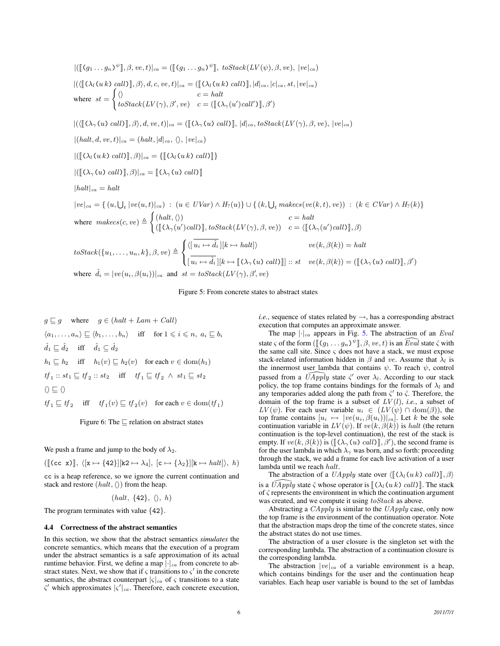$$
|([\mathbb{I}(g_1...g_n)^{\psi}]], \beta, ve, t)|_{ca} = ([[g_1...g_n)^{\psi}], toStack(LV(\psi), \beta, ve), |ve|_{ca})
$$
  

$$
|(\langle [(\lambda_l(uk) \text{ call})], \beta \rangle, d, c, ve, t)|_{ca} = ([[\lambda_l(uk) \text{ call})], |d|_{ca}, \{c|_{ca}, st, |ve|_{ca})
$$
  
where  $st = \begin{cases} \langle \rangle & c = halt \\ toStack(LV(\gamma), \beta', ve) & c = [[[\lambda_\gamma(u')cal']], \beta') \end{cases}$   

$$
|(\langle [(\lambda_\gamma(u) \text{ call})], \beta \rangle, d, ve, t)|_{ca} = ([[\lambda_\gamma(u) \text{ call})], |d|_{ca}, toStack(LV(\gamma), \beta, ve), |ve|_{ca}) \rangle
$$
  

$$
|(\langle [(\lambda_l(uk) \text{ call})], \beta \rangle, d, ve, t)|_{ca} = \{[[\lambda_l(uk) \text{ call}]]\}
$$
  

$$
|([\{(\lambda_l(uk) \text{ call})], \beta \rangle|_{ca} = \{[[\lambda_\gamma(u) \text{ call} \rangle]\} \rangle
$$
  

$$
|(\langle [(\lambda_l(uk) \text{ call})], \beta \rangle|_{ca} = [[\lambda_\gamma(u) \text{ call} \rangle] \rangle
$$
  

$$
|hall|_{ca} = halt
$$
  

$$
|ve|_{ca} = \{ (u, \bigcup_t |ve(u, t)|_{ca}) : (u \in UVar) \wedge H_?(u) \} \cup \{ (k, \bigcup_t makesc(ve(k, t), ve) ) : (k \in CVar) \wedge H_?(k) \} \rangle
$$
  
where  $makes(c, ve) \triangleq \begin{cases} \langle [lalt, \langle \rangle \rangle) & c = halt \\ ([\lambda_\gamma(u')cal)]], toStack(LV(\gamma), \beta, ve)) & c = \langle [[\lambda_\gamma(u')cal)]], \beta \rangle \rangle \end{cases}$   
toStack
$$
\{ \{ u_1, ..., u_n, k \}, \beta, ve) \triangleq \begin{cases} \langle [l_{ui} \mapsto \hat{d}_i][k \mapsto halt] \rangle & ve(k, \beta(k)) = halt \end{cases}
$$
  
where  $\hat{d}_i = |ve(u_i, \beta(u_i))|_{ca}$  and  $st = toStack(LV(\gamma$ 

<span id="page-5-1"></span>Figure 5: From concrete states to abstract states

 $g \sqsubseteq g$  where  $g \in (halt + Lam + Call)$  $\langle a_1, \ldots, a_n \rangle \sqsubset \langle b_1, \ldots, b_n \rangle$  iff for  $1 \leqslant i \leqslant n, a_i \sqsubset b_i$  $\hat{d}_1 \sqsubseteq \hat{d}_2$  iff  $\hat{d}_1 \subseteq \hat{d}_2$  $h_1 \sqsubseteq h_2$  iff  $h_1(v) \sqsubseteq h_2(v)$  for each  $v \in \text{dom}(h_1)$  $tf_1 :: st_1 \sqsubseteq tf_2 :: st_2 \quad \text{ iff } \quad tf_1 \sqsubseteq tf_2 \ \wedge \ st_1 \sqsubseteq st_2$  $\langle \rangle \sqsubset \langle \rangle$  $tf_1 \sqsubseteq tf_2$  iff  $tf_1(v) \sqsubseteq tf_2(v)$  for each  $v \in \text{dom}(tf_1)$ 

<span id="page-5-2"></span>Figure 6: The  $\sqsubseteq$  relation on abstract states

We push a frame and jump to the body of  $\lambda_2$ .

 $([\lceil (cc \ x) \rceil, \langle [x \mapsto {42}] \rceil [k2 \mapsto \lambda_4], [\lceil c \mapsto {\lambda_2} \rceil][k \mapsto \text{halt}]\rangle, h)$ 

cc is a heap reference, so we ignore the current continuation and stack and restore  $(halt, \langle \rangle)$  from the heap.

 $(halt, \{42\}, \langle \rangle, h)$ 

The program terminates with value  ${42}$ .

#### <span id="page-5-0"></span>4.4 Correctness of the abstract semantics

In this section, we show that the abstract semantics *simulates* the concrete semantics, which means that the execution of a program under the abstract semantics is a safe approximation of its actual runtime behavior. First, we define a map  $|\cdot|_{ca}$  from concrete to abstract states. Next, we show that if  $\varsigma$  transitions to  $\varsigma'$  in the concrete semantics, the abstract counterpart  $|\varsigma|_{ca}$  of  $\varsigma$  transitions to a state  $\zeta'$  which approximates  $|\zeta'|_{ca}$ . Therefore, each concrete execution,

*i.e.*, sequence of states related by  $\rightarrow$ , has a corresponding abstract execution that computes an approximate answer.

The map  $|\cdot|_{ca}$  appears in Fig. [5.](#page-5-1) The abstraction of an *Eval* state  $\varsigma$  of the form  $(\llbracket (g_1 \ldots g_n)^{\psi} \rrbracket, \beta, \nu e, t)$  is an  $\widehat{Eval}$  state  $\hat{\varsigma}$  with the same call site. Since  $\varsigma$  does not have a stack, we must expose stack-related information hidden in  $\beta$  and ve. Assume that  $\lambda_l$  is the innermost user lambda that contains  $\psi$ . To reach  $\psi$ , control passed from a  $\widehat{UApply}$  state  $\hat{\zeta}$  over  $\lambda_i$ . According to our stack policy, the top frame contains bindings for the formals of  $\lambda_l$  and any temporaries added along the path from  $\hat{\zeta}'$  to  $\hat{\zeta}$ . Therefore, the domain of the top frame is a subset of  $LV(l)$ , *i.e.*, a subset of  $LV(\psi)$ . For each user variable  $u_i \in (LV(\psi) \cap \text{dom}(\beta))$ , the top frame contains  $[u_i \mapsto |ve(u_i, \beta(u_i))|_{ca}]$ . Let k be the sole continuation variable in  $LV(\psi)$ . If  $ve(k, \beta(k))$  is halt (the return continuation is the top-level continuation), the rest of the stack is empty. If  $ve(k, \beta(k))$  is  $(\llbracket (\lambda_\gamma(u) \cdot \textit{call}) \rrbracket, \beta')$ , the second frame is<br>for the user lambda in which  $\lambda$ , was born and so forth; proceeding for the user lambda in which  $\lambda_{\gamma}$  was born, and so forth: proceeding through the stack, we add a frame for each live activation of a user lambda until we reach halt.

The abstraction of a UApply state over  $\langle [(\lambda_l(u k) \cal{H}]], \beta \rangle$ is a  $\widehat{U}$ Apply state  $\hat{\zeta}$  whose operator is  $\left[ (\lambda_k(u k) \; call) \right]$ . The stack of  $\hat{\zeta}$  represents the environment in which the continuation argument was created, and we compute it using  $toStack$  as above.

Abstracting a  $CApply$  is similar to the  $UApply$  case, only now the top frame is the environment of the continuation operator. Note that the abstraction maps drop the time of the concrete states, since the abstract states do not use times.

The abstraction of a user closure is the singleton set with the corresponding lambda. The abstraction of a continuation closure is the corresponding lambda.

The abstraction  $|ve|_{ca}$  of a variable environment is a heap, which contains bindings for the user and the continuation heap variables. Each heap user variable is bound to the set of lambdas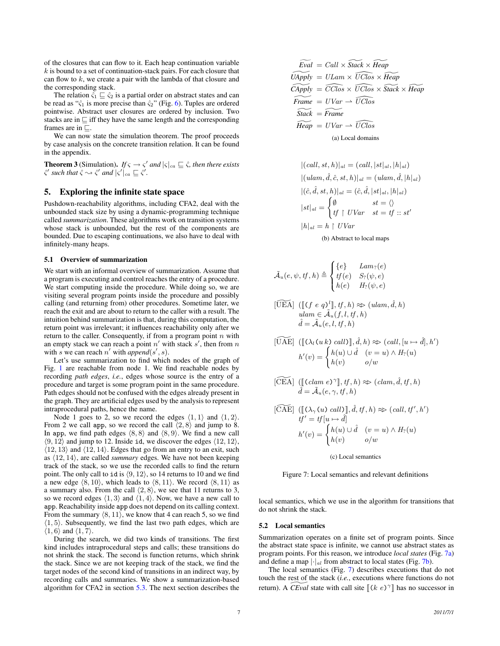of the closures that can flow to it. Each heap continuation variable  $k$  is bound to a set of continuation-stack pairs. For each closure that can flow to  $k$ , we create a pair with the lambda of that closure and the corresponding stack.

The relation  $\hat{\varsigma}_1 \sqsubseteq \hat{\varsigma}_2$  is a partial order on abstract states and can be read as " $\hat{\varsigma}_1$  is more precise than  $\hat{\varsigma}_2$ " (Fig. [6\)](#page-5-2). Tuples are ordered pointwise. Abstract user closures are ordered by inclusion. Two stacks are in  $\sqsubseteq$  iff they have the same length and the corresponding frames are in  $\sqsubseteq$ .

We can now state the simulation theorem. The proof proceeds by case analysis on the concrete transition relation. It can be found in the appendix.

**Theorem 3** (Simulation). *If*  $\varsigma \to \varsigma'$  and  $|\varsigma|_{ca} \sqsubseteq \hat{\varsigma}$ , then there exists  $\hat{\varsigma}'$  such that  $\hat{\varsigma} \leadsto \hat{\varsigma}'$  and  $|\varsigma'|_{ca} \sqsubseteq \hat{\varsigma}'$ .

### <span id="page-6-0"></span>5. Exploring the infinite state space

Pushdown-reachability algorithms, including CFA2, deal with the unbounded stack size by using a dynamic-programming technique called *summarization*. These algorithms work on transition systems whose stack is unbounded, but the rest of the components are bounded. Due to escaping continuations, we also have to deal with infinitely-many heaps.

#### 5.1 Overview of summarization

We start with an informal overview of summarization. Assume that a program is executing and control reaches the entry of a procedure. We start computing inside the procedure. While doing so, we are visiting several program points inside the procedure and possibly calling (and returning from) other procedures. Sometime later, we reach the exit and are about to return to the caller with a result. The intuition behind summarization is that, during this computation, the return point was irrelevant; it influences reachability only after we return to the caller. Consequently, if from a program point  $n$  with an empty stack we can reach a point  $n'$  with stack s', then from n with s we can reach n' with append(s', s).

Let's use summarization to find which nodes of the graph of Fig. [1](#page-1-0) are reachable from node 1. We find reachable nodes by recording *path edges*, *i.e.*, edges whose source is the entry of a procedure and target is some program point in the same procedure. Path edges should not be confused with the edges already present in the graph. They are artificial edges used by the analysis to represent intraprocedural paths, hence the name.

Node 1 goes to 2, so we record the edges  $\langle 1, 1 \rangle$  and  $\langle 1, 2 \rangle$ . From 2 we call app, so we record the call  $\langle 2, 8 \rangle$  and jump to 8. In app, we find path edges  $\langle 8, 8 \rangle$  and  $\langle 8, 9 \rangle$ . We find a new call  $\langle 9, 12 \rangle$  and jump to 12. Inside id, we discover the edges  $\langle 12, 12 \rangle$ ,  $\langle 12, 13 \rangle$  and  $\langle 12, 14 \rangle$ . Edges that go from an entry to an exit, such as  $\langle 12, 14 \rangle$ , are called *summary* edges. We have not been keeping track of the stack, so we use the recorded calls to find the return point. The only call to id is  $(9, 12)$ , so 14 returns to 10 and we find a new edge  $\langle 8, 10 \rangle$ , which leads to  $\langle 8, 11 \rangle$ . We record  $\langle 8, 11 \rangle$  as a summary also. From the call  $\langle 2, 8 \rangle$ , we see that 11 returns to 3, so we record edges  $\langle 1, 3 \rangle$  and  $\langle 1, 4 \rangle$ . Now, we have a new call to app. Reachability inside app does not depend on its calling context. From the summary  $\langle 8, 11 \rangle$ , we know that 4 can reach 5, so we find  $\langle 1, 5 \rangle$ . Subsequently, we find the last two path edges, which are  $\langle 1, 6 \rangle$  and  $\langle 1, 7 \rangle$ .

During the search, we did two kinds of transitions. The first kind includes intraprocedural steps and calls; these transitions do not shrink the stack. The second is function returns, which shrink the stack. Since we are not keeping track of the stack, we find the target nodes of the second kind of transitions in an indirect way, by recording calls and summaries. We show a summarization-based algorithm for CFA2 in section [5.3.](#page-7-0) The next section describes the

<span id="page-6-1"></span>
$$
\widetilde{Eval} = Call \times Stack \times \widetilde{Heap}
$$
\n
$$
\widetilde{UApply} = ULam \times \widetilde{UClos} \times \widetilde{Heap}
$$
\n
$$
\widetilde{Chpply} = \widetilde{CClos} \times \widetilde{UClos} \times \widetilde{Stack} \times \widetilde{Heap}
$$
\n
$$
\widetilde{Frame} = UVar \rightarrow \widetilde{UClos}
$$
\n
$$
\widetilde{Stack} = \widetilde{Frame}
$$
\n
$$
\widetilde{Heap} = UVar \rightarrow \widetilde{UClos}
$$
\n(a) Local domains

<span id="page-6-2"></span> $|(call, st, h)|_{al} = (call, |st|_{al}, |h|_{al})$  $|(ulam, \hat{d}, \hat{c}, st, h)|_{al} = (ulam, \hat{d}, |h|_{al})$  $|(\hat{c}, \hat{d}, st, h)|_{al} = (\hat{c}, \hat{d}, |st|_{al}, |h|_{al})$  $|st|_{al} =$  $\int \emptyset$   $st = \langle \rangle$  $tf \restriction UVar \quad st = tf :: st'$  $|h|_{al} = h \restriction UVar$ 

(b) Abstract to local maps

$$
\tilde{\mathcal{A}}_u(e, \psi, tf, h) \triangleq \begin{cases} \{e\} & \mathit{Lam}_?(e) \\ tf(e) & S_?(\psi, e) \\ h(e) & H_?(\psi, e) \end{cases}
$$

$$
[\widetilde{UEA}] \([\![(f e q)^l]\!], tf, h) \approx (ulam, \hat{d}, h)
$$
  
\n
$$
ulam \in \tilde{A}_u(f, l, tf, h)
$$
  
\n
$$
\hat{d} = \tilde{A}_u(e, l, tf, h)
$$

$$
[\widetilde{UAE}] \([\lbrack (\lambda_l(u k) \; call) \rbrack, \hat{d}, h) \approx (call, [u \mapsto \hat{d}], h')
$$

$$
h'(v) = \begin{cases} h(u) \cup \hat{d} & (v = u) \wedge H_?(u) \\ h(v) & o/w \end{cases}
$$

 $[\widetilde{\text{CEA}}] \left( [\text{Calam } e)^\gamma \right], tf, h) \approx (clam, \hat{d}, tf, h)$ <br> $\hat{d} = \tilde{A}_u(e, \gamma, tf, h)$ 

$$
[\widetilde{CAE}] \([\{(\lambda_{\gamma}(u) \ call \})], \hat{d}, tf, h) \approx (call, tf', h')
$$
  
\n
$$
tf' = tf[u \mapsto \hat{d}]
$$
  
\n
$$
h'(v) = \begin{cases} h(u) \cup \hat{d} & (v = u) \land H_?(u) \\ h(v) & o/w \end{cases}
$$

<span id="page-6-3"></span>(c) Local semantics

Figure 7: Local semantics and relevant definitions

local semantics, which we use in the algorithm for transitions that do not shrink the stack.

### 5.2 Local semantics

Summarization operates on a finite set of program points. Since the abstract state space is infinite, we cannot use abstract states as program points. For this reason, we introduce *local states* (Fig. [7a\)](#page-6-1) and define a map  $|\cdot|_{al}$  from abstract to local states (Fig. [7b\)](#page-6-2).

The local semantics (Fig. [7\)](#page-6-3) describes executions that do not touch the rest of the stack (*i.e.*, executions where functions do not return). A *CEval* state with call site  $[(k \ e)^{\gamma}]$  has no successor in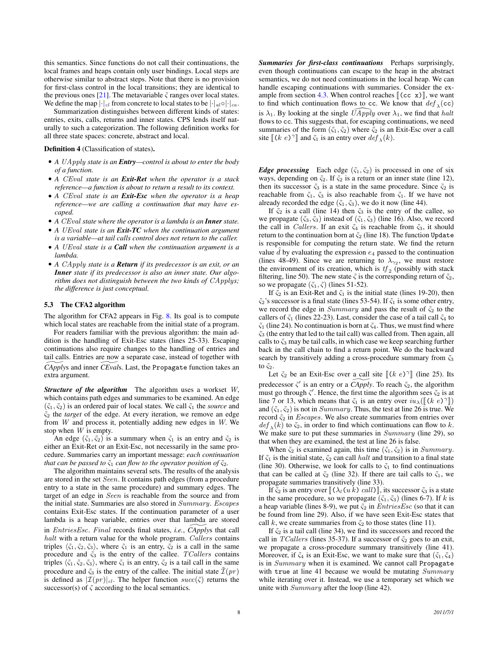this semantics. Since functions do not call their continuations, the local frames and heaps contain only user bindings. Local steps are otherwise similar to abstract steps. Note that there is no provision for first-class control in the local transitions; they are identical to the previous ones [\[21\]](#page-11-2). The metavariable  $\zeta$  ranges over local states. We define the map  $|\cdot|_{cl}$  from concrete to local states to be  $|\cdot|_{al} \circ |\cdot|_{ca}$ .

Summarization distinguishes between different kinds of states: entries, exits, calls, returns and inner states. CPS lends itself naturally to such a categorization. The following definition works for all three state spaces: concrete, abstract and local.

Definition 4 (Classification of states).

- *A* UApply *state is an Entry—control is about to enter the body of a function.*
- *A* CEval *state is an Exit-Ret when the operator is a stack reference—a function is about to return a result to its context.*
- *A* CEval *state is an Exit-Esc when the operator is a heap reference—we are calling a continuation that may have escaped.*
- *A* CEval *state where the operator is a lambda is an Inner state.*
- *A* UEval *state is an Exit-TC when the continuation argument is a variable—at tail calls control does not return to the caller.*
- *A* UEval *state is a Call when the continuation argument is a lambda.*
- *A* CApply *state is a Return if its predecessor is an exit, or an Inner state if its predecessor is also an inner state. Our algorithm does not distinguish between the two kinds of* CApply*s; the difference is just conceptual.*

### <span id="page-7-0"></span>5.3 The CFA2 algorithm

The algorithm for CFA2 appears in Fig. [8.](#page-8-0) Its goal is to compute which local states are reachable from the initial state of a program.

For readers familiar with the previous algorithm: the main addition is the handling of Exit-Esc states (lines 25-33). Escaping continuations also require changes to the handling of entries and tail calls. Entries are now a separate case, instead of together with *CApplys* and inner *CEvals*. Last, the Propagate function takes an extra argument.

*Structure of the algorithm* The algorithm uses a workset W, which contains path edges and summaries to be examined. An edge  $(\tilde{\varsigma}_1, \tilde{\varsigma}_2)$  is an ordered pair of local states. We call  $\tilde{\varsigma}_1$  the *source* and  $\tilde{\varsigma}_2$  the *target* of the edge. At every iteration, we remove an edge from  $W$  and process it, potentially adding new edges in  $W$ . We stop when W is empty.

An edge  $(\tilde{\varsigma}_1, \tilde{\varsigma}_2)$  is a summary when  $\tilde{\varsigma}_1$  is an entry and  $\tilde{\varsigma}_2$  is either an Exit-Ret or an Exit-Esc, not necessarily in the same procedure. Summaries carry an important message: *each continuation that can be passed to*  $\tilde{\varsigma}_1$  *can flow to the operator position of*  $\tilde{\varsigma}_2$ *.* 

The algorithm maintains several sets. The results of the analysis are stored in the set Seen. It contains path edges (from a procedure entry to a state in the same procedure) and summary edges. The target of an edge in Seen is reachable from the source and from the initial state. Summaries are also stored in Summary. Escapes contains Exit-Esc states. If the continuation parameter of a user lambda is a heap variable, entries over that lambda are stored in *EntriesEsc. Final* records final states, *i.e.*, *CApplys* that call halt with a return value for the whole program. Callers contains triples  $\langle \tilde{\varsigma}_1, \tilde{\varsigma}_2, \tilde{\varsigma}_3 \rangle$ , where  $\tilde{\varsigma}_1$  is an entry,  $\tilde{\varsigma}_2$  is a call in the same procedure and  $\tilde{\varsigma}_3$  is the entry of the callee. TCallers contains triples  $\langle \tilde{\varsigma}_1, \tilde{\varsigma}_2, \tilde{\varsigma}_3 \rangle$ , where  $\tilde{\varsigma}_1$  is an entry,  $\tilde{\varsigma}_2$  is a tail call in the same procedure and  $\tilde{\varsigma}_3$  is the entry of the callee. The initial state  $\mathcal{I}(pr)$ is defined as  $|\mathcal{I}(pr)|_{cl}$ . The helper function  $succ(\tilde{\zeta})$  returns the successor(s) of  $\tilde{\varsigma}$  according to the local semantics.

*Summaries for first-class continuations* Perhaps surprisingly, even though continuations can escape to the heap in the abstract semantics, we do not need continuations in the local heap. We can handle escaping continuations with summaries. Consider the ex-ample from section [4.3.](#page-3-0) When control reaches  $[(cc x)]$ , we want to find which continuation flows to cc. We know that  $def_\lambda$  (cc) is  $\lambda_1$ . By looking at the single  $\bar{U}$ Apply over  $\lambda_1$ , we find that halt flows to cc. This suggests that, for escaping continuations, we need summaries of the form  $(\tilde{\varsigma}_1, \tilde{\varsigma}_2)$  where  $\tilde{\varsigma}_2$  is an Exit-Esc over a call site  $\llbracket (k \ e)^\gamma \rrbracket$  and  $\zeta_1$  is an entry over  $\det_{\lambda}(k)$ .

*Edge processing* Each edge  $(\tilde{\varsigma}_1, \tilde{\varsigma}_2)$  is processed in one of six ways, depending on  $\tilde{\varsigma}_2$ . If  $\tilde{\varsigma}_2$  is a return or an inner state (line 12), then its successor  $\tilde{\varsigma}_3$  is a state in the same procedure. Since  $\tilde{\varsigma}_2$  is reachable from  $\tilde{\varsigma}_1$ ,  $\tilde{\varsigma}_3$  is also reachable from  $\tilde{\varsigma}_1$ . If we have not already recorded the edge  $(\tilde{\varsigma}_1, \tilde{\varsigma}_3)$ , we do it now (line 44).

If  $\zeta_2$  is a call (line 14) then  $\zeta_3$  is the entry of the callee, so we propagate  $(\tilde{\varsigma}_3, \tilde{\varsigma}_3)$  instead of  $(\tilde{\varsigma}_1, \tilde{\varsigma}_3)$  (line 16). Also, we record the call in *Callers*. If an exit  $\zeta_4$  is reachable from  $\zeta_3$ , it should return to the continuation born at  $\tilde{\varsigma}_2$  (line 18). The function Update is responsible for computing the return state. We find the return value  $\tilde{d}$  by evaluating the expression  $e_4$  passed to the continuation (lines 48-49). Since we are returning to  $\lambda_{\gamma_2}$ , we must restore the environment of its creation, which is  $tf_2$  (possibly with stack filtering, line 50). The new state  $\tilde{\varsigma}$  is the corresponding return of  $\tilde{\varsigma}_2$ , so we propagate  $(\tilde{\varsigma}_1, \tilde{\varsigma})$  (lines 51-52).

If  $\zeta_2$  is an Exit-Ret and  $\zeta_1$  is the initial state (lines 19-20), then  $\tilde{\varsigma}_2$ 's successor is a final state (lines 53-54). If  $\tilde{\varsigma}_1$  is some other entry, we record the edge in Summary and pass the result of  $\tilde{\varsigma}_2$  to the callers of  $\tilde{\varsigma}_1$  (lines 22-23). Last, consider the case of a tail call  $\tilde{\varsigma}_4$  to  $\tilde{\varsigma}_1$  (line 24). No continuation is born at  $\tilde{\varsigma}_4$ . Thus, we must find where  $\tilde{\varsigma}_3$  (the entry that led to the tail call) was called from. Then again, all calls to  $\tilde{\varsigma}_3$  may be tail calls, in which case we keep searching further back in the call chain to find a return point. We do the backward search by transitively adding a cross-procedure summary from  $\tilde{\varsigma}_3$ to  $\tilde{\varsigma}_2$ .

Let  $\zeta_2$  be an Exit-Esc over a call site  $[(k \ e)^\gamma]$  (line 25). Its predecessor  $\tilde{\zeta}'$  is an entry or a *CApply*. To reach  $\tilde{\zeta}_2$ , the algorithm must go through  $\zeta'$ . Hence, the first time the algorithm sees  $\zeta_2$  is at line 7 or 13, which means that  $\tilde{\zeta}_1$  is an entry over  $iu_\lambda([\kappa e)^\gamma])$ <br>and  $(\tilde{\zeta}_1, \tilde{\zeta}_2)$  is not in *Summary* Thus, the test at line 26 is true. We and  $(\tilde{\varsigma}_1, \tilde{\varsigma}_2)$  is not in *Summary*. Thus, the test at line 26 is true. We record  $\tilde{\varsigma}_2$  in *Escapes*. We also create summaries from entries over  $def_{\lambda}(k)$  to  $\tilde{\varsigma}_2$ , in order to find which continuations can flow to k. We make sure to put these summaries in *Summary* (line 29), so that when they are examined, the test at line 26 is false.

When  $\tilde{\varsigma}_2$  is examined again, this time  $(\tilde{\varsigma}_1, \tilde{\varsigma}_2)$  is in Summary. If  $\tilde{\varsigma}_1$  is the initial state,  $\tilde{\varsigma}_2$  can call *halt* and transition to a final state (line 30). Otherwise, we look for calls to  $\tilde{\varsigma}_1$  to find continuations that can be called at  $\tilde{\varsigma}_2$  (line 32). If there are tail calls to  $\tilde{\varsigma}_1$ , we propagate summaries transitively (line 33).

If  $\tilde{\varsigma}_2$  is an entry over  $[(\lambda_l(u k) \cal{H})]$ , its successor  $\tilde{\varsigma}_3$  is a state in the same procedure, so we propagate  $(\tilde{\varsigma}_1, \tilde{\varsigma}_3)$  (lines 6-7). If k is a heap variable (lines 8-9), we put  $\tilde{\varsigma}_2$  in *EntriesEsc* (so that it can be found from line 29). Also, if we have seen Exit-Esc states that call k, we create summaries from  $\tilde{\varsigma}_2$  to those states (line 11).

If  $\tilde{\varsigma}_2$  is a tail call (line 34), we find its successors and record the call in TCallers (lines 35-37). If a successor of  $\tilde{\varsigma}_2$  goes to an exit, we propagate a cross-procedure summary transitively (line 41). Moreover, if  $\tilde{\zeta}_4$  is an Exit-Esc, we want to make sure that  $(\tilde{\zeta}_1, \tilde{\zeta}_4)$ is in Summary when it is examined. We cannot call Propagate with true at line 41 because we would be mutating *Summary* while iterating over it. Instead, we use a temporary set which we unite with *Summary* after the loop (line 42).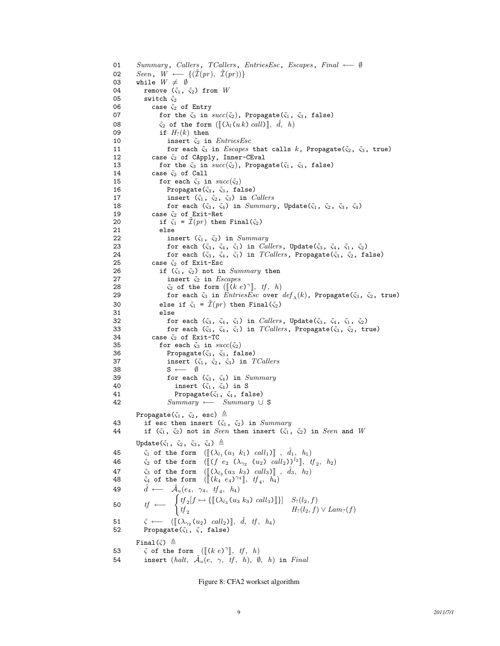```
01 Summary, Callers, TCallers, EntriesEsc, Escapes, Final ←− ∅
02 Seen, W \longleftarrow {\{\{\mathcal{I}(pr), \ \mathcal{I}(pr)\}\}}<br>03 while W \neq \emptysetwhile W \neq \emptyset04 remove (\tilde{\varsigma}_1, \tilde{\varsigma}_2) from W05 switch \tilde{\varsigma}_206 case \tilde{\varsigma}_2 of Entry
07 for the \tilde{\varsigma}_3 in succ(\tilde{\varsigma}_2), Propagate(\tilde{\varsigma}_1, \tilde{\varsigma}_3, false)
08 \tilde{\varsigma}_2 of the form ([\![ (\lambda_l(u k) \; call ) ]\!], \; \tilde{d}, \; h)<br>09 if H_? (k) then
                            if H_?(k) then
10 insert \tilde{\varsigma}_2 in EntriesEsc11 for each \tilde{\varsigma}_3 in Escapes that calls k, Propagate(\tilde{\varsigma}_2, \tilde{\varsigma}_3, true)
12 case \tilde{\varsigma}_2 of CApply, Inner-CEval
13 for the \tilde{\varsigma}_3 in succ(\tilde{\varsigma}_2), Propagate(\tilde{\varsigma}_1, \tilde{\varsigma}_3, false)
14 case \tilde{\zeta}_2 of Call<br>15 for each \tilde{\zeta}_3 in
                            for each \tilde{\varsigma}_3 in succ(\tilde{\varsigma}_2)16 Propagate(\tilde{\zeta}_3, \tilde{\zeta}_3, \tilde{\zeta}_4)17 insert (\tilde{\varsigma}_1, \tilde{\varsigma}_2, \tilde{\varsigma}_3) in Callers
18 for each (\tilde{\zeta}_3, \tilde{\zeta}_4) in Summary, Update(\tilde{\zeta}_1, \tilde{\zeta}_2, \tilde{\zeta}_3, \tilde{\zeta}_4)<br>19 case \tilde{\zeta}_2 of Exit-Bet
                        case \tilde{\varsigma}_2 of Exit-Ret
20 if \tilde{\zeta}_1 = \tilde{\mathcal{I}}(pr) then Final(\tilde{\zeta}_2)
21 else<br>22 in:
22 insert (\tilde{\varsigma}_1, \tilde{\varsigma}_2) in Summary<br>23 for each (\tilde{\varsigma}_3, \tilde{\varsigma}_4, \tilde{\varsigma}_1) in Cal
23 for each (\tilde{\varsigma}_3, \tilde{\varsigma}_4, \tilde{\varsigma}_1) in Callers, Update(\tilde{\varsigma}_3, \tilde{\varsigma}_4, \tilde{\varsigma}_1, \tilde{\varsigma}_2)<br>24 for each (\tilde{\varsigma}_3, \tilde{\varsigma}_4, \tilde{\varsigma}_1) in TCallers, Propagate(\tilde{\varsigma}_3, \tilde{\varsigma}_2, \tilde{\varsigma}_2)24 for each (\tilde{\varsigma}_3, \tilde{\varsigma}_4, \tilde{\varsigma}_1) in TCallers, Propagate(\tilde{\varsigma}_3, \tilde{\varsigma}_2, false)<br>25 case \tilde{\varsigma}_2 of Exit-Esc
                        case \tilde{\varsigma}_2 of Exit-Esc
26 if (\tilde{\varsigma}_1, \tilde{\varsigma}_2) not in Summary then
27 insert \tilde{\varsigma}_2 in Escapes
 28 \tilde{\varsigma}_2 of the form ([\hat{k} \ e)^\gamma], \ tf, \ h)<br>29 for each \tilde{\varsigma}_2 in Entries Esc over
 29 for each \tilde{\varsigma}_3 in EntriesEsc over def_{\lambda}(k), Propagate(\tilde{\varsigma}_3, \tilde{\varsigma}_2, true)
30 else if \tilde{\varsigma}_1 = \tilde{\mathcal{I}}(pr) then Final(\tilde{\varsigma}_2)
31 else
32 for each (\tilde{\varsigma}_3, \tilde{\varsigma}_4, \tilde{\varsigma}_1) in Callers, Update(\tilde{\varsigma}_3, \tilde{\varsigma}_4, \tilde{\varsigma}_1, \tilde{\varsigma}_2)33 for each (\tilde{\varsigma}_3, \tilde{\varsigma}_4, \tilde{\varsigma}_1) in TCallers, Propagate(\tilde{\varsigma}_3, \tilde{\varsigma}_2, true)
34 case \tilde{\varsigma}_2 of Exit-TC<br>35 for each \tilde{\varsigma}_3 in su35 for each \tilde{\varsigma}_3 in succ(\tilde{\varsigma}_2)<br>36 Propagate(\tilde{\varsigma}_3, \tilde{\varsigma}_3, fa
                                 Propagate(\tilde{\varsigma}_3, \ \tilde{\varsigma}_3, \false)
37 insert (\tilde{\zeta}_1, \tilde{\zeta}_2, \tilde{\zeta}_3) in TCallers38 S ← \emptyset<br>39 for each
39 for each (\tilde{\varsigma}_3, \tilde{\varsigma}_4) in Summary<br>40 insert (\tilde{\varsigma}_1, \tilde{\varsigma}_4) in S
                                     insert (\tilde{\varsigma}_1, \ \tilde{\varsigma}_4) in S
41 Propagate(\tilde{\zeta}_1, \tilde{\zeta}_4, false)
42 Summary ← Summary ∪ S
              Propagate(\tilde{\varsigma}_1, \tilde{\varsigma}_2, esc) \triangleq43 if esc then insert (\tilde{\zeta}_1, \tilde{\zeta}_2) in Summary<br>44 if (\tilde{\zeta}_1, \tilde{\zeta}_2) not in Seen then insert (\tilde{\zeta}_1, \tilde{\zeta}_2)if (\tilde{\zeta}_1, \tilde{\zeta}_2) not in Seen then insert (\tilde{\zeta}_1, \tilde{\zeta}_2) in Seen and W
              Update(\tilde{\varsigma}_1, \tilde{\varsigma}_2, \tilde{\varsigma}_3, \tilde{\varsigma}_4) \triangleq45 \tilde{\varsigma}_1 of the form (\llbracket (\lambda_{l_1}(u_1 k_1) \cal{L}_l \rrbracket), \hat{d}_1, h_1)<br>46 \tilde{\varsigma}_2 of the form (\llbracket (f \in \Omega_{\infty}(u_2) \cal{L}_l \rrbracket))^{l_2}, t
 46 \tilde{\varsigma}_2 of the form (\llbracket (f \ e_2 \ (\lambda_{\gamma_2} \ (u_2) \ call_2))^{l_2} \rrbracket, \ tf_2, \ h_2)47 \tilde{\varsigma}_3 of the form (\llbracket (\lambda_{l_3} (u_3 k_3) \cal{u}_3] \rrbracket, \hat{d}_3, h_2)<br>48 \tilde{\varsigma}_4 of the form (\llbracket (k_4 e_4)^{\gamma_4} \rrbracket, tf_4, h_4)48 \tilde{\zeta}_4 of the form \left( \begin{bmatrix} k_4 & e_4 \end{bmatrix}^{\gamma_4} \right], tf_4, h_449 \hat{d} \longleftarrow \tilde{\mathcal{A}}_u(e_4, \gamma_4, tf_4, h_4)50 tf \longleftarrow \begin{cases} tf_2[f \mapsto \{[\lbrack (\lambda_{l_3}(u_3 k_3) \; call_3)]\}\rbrack & S_7(l_2, f) \; \forall \; Lam_7(f) \; \; \; & H_7(l_2, f) \; \forall \; Lam_7(f) \end{cases}51 \tilde{\varsigma} \leftarrow [[(\lambda_{\gamma_2}(u_2) \text{ call}_2)], \hat{d}, \text{ tf}, \text{ h}_4]<br>52 Propagate(\tilde{\varsigma}_1, \tilde{\varsigma}, false)
                  Propagate(\tilde{\varsigma}_1, \tilde{\varsigma}, false)
              Final(\tilde{\varsigma}) \triangleq53 \zeta of the form ([\& (k e)^{\gamma}], \& f, \& h)54 insert (halt, \tilde{\mathcal{A}}_u(e, \gamma, tf, h), \emptyset, h) in Final
```
<span id="page-8-0"></span>Figure 8: CFA2 workset algorithm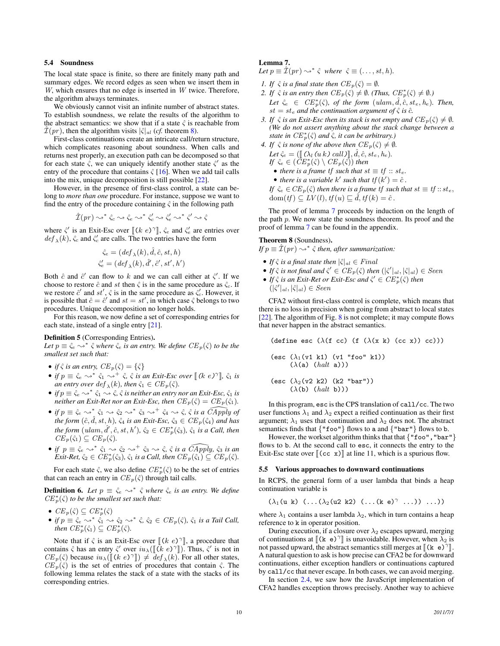## <span id="page-9-0"></span>5.4 Soundness

The local state space is finite, so there are finitely many path and summary edges. We record edges as seen when we insert them in  $W$ , which ensures that no edge is inserted in  $W$  twice. Therefore, the algorithm always terminates.

We obviously cannot visit an infinite number of abstract states. To establish soundness, we relate the results of the algorithm to the abstract semantics: we show that if a state  $\hat{\zeta}$  is reachable from  $\mathcal{I}(pr)$ , then the algorithm visits  $|\hat{\zeta}|_{al}$  (*cf.* theorem [8\)](#page-9-2).

First-class continuations create an intricate call/return structure, which complicates reasoning about soundness. When calls and returns nest properly, an execution path can be decomposed so that for each state  $\hat{\zeta}$ , we can uniquely identify another state  $\hat{\zeta}'$  as the entry of the procedure that contains  $\hat{\zeta}$  [\[16\]](#page-11-1). When we add tail calls into the mix, unique decomposition is still possible [\[22\]](#page-11-16).

However, in the presence of first-class control, a state can belong to *more than one* procedure. For instance, suppose we want to find the entry of the procedure containing  $\hat{\zeta}$  in the following path

$$
\hat{\mathcal{I}}(pr) \leadsto^* \hat{\varsigma}_c \leadsto \hat{\varsigma}_e \leadsto^* \hat{\varsigma}_c' \leadsto \hat{\varsigma}_e' \leadsto^* \hat{\varsigma}' \leadsto \hat{\varsigma}
$$

where  $\hat{\zeta}'$  is an Exit-Esc over  $[(k e)^{\gamma}]$ ,  $\hat{\zeta}_e$  and  $\hat{\zeta}'_e$  are entries over  $def (k) \hat{\zeta}$  and  $\hat{\zeta}'$  are calls. The two entries have the form  $def_{\lambda}(k)$ ,  $\hat{\zeta}_c$  and  $\hat{\zeta}'_c$  are calls. The two entries have the form

$$
\hat{\zeta}_e = (def_\lambda(k), \hat{d}, \hat{c}, st, h)
$$
  

$$
\hat{\zeta}'_e = (def_\lambda(k), \hat{d}', \hat{c}', st', h')
$$

Both  $\hat{c}$  and  $\hat{c}'$  can flow to k and we can call either at  $\hat{\varsigma}'$ . If we choose to restore  $\hat{c}$  and st then  $\hat{\varsigma}$  is in the same procedure as  $\hat{\varsigma}_c$ . If we restore  $\hat{c}'$  and  $st'$ ,  $\hat{\varsigma}$  is in the same procedure as  $\hat{\varsigma}'_c$ . However, it is possible that  $\hat{c} = \hat{c}'$  and  $st = st'$ , in which case  $\hat{\varsigma}$  belongs to two procedures. Unique decomposition no longer holds.

For this reason, we now define a set of corresponding entries for each state, instead of a single entry [\[21\]](#page-11-2).

### <span id="page-9-4"></span>Definition 5 (Corresponding Entries).

Let  $p \equiv \hat{\zeta}_e \leadsto^* \hat{\zeta}$  where  $\hat{\zeta}_e$  *is an entry. We define*  $CE_p(\hat{\zeta})$  *to be the smallest set such that:*

- *if*  $\hat{\varsigma}$  *is an entry,*  $CE_p(\hat{\varsigma}) = {\hat{\varsigma}}$
- *if*  $p \equiv \hat{\zeta}_e \leadsto^* \hat{\zeta}_1 \leadsto^+ \hat{\zeta}, \hat{\zeta}$  *is an Exit-Esc over*  $[(k \ e)^\gamma], \hat{\zeta}_1$  *is*<br>an entry over def  $(k)$ , then  $\hat{\zeta}_e \in CF$   $(\hat{\zeta})$ *an entry over*  $\deg_{\lambda}(k)$ *, then*  $\hat{\varsigma}_1 \in CE_p(\hat{\varsigma})$ *.*
- *if*  $p \equiv \hat{\zeta}_e \leadsto^* \hat{\zeta}_1 \leadsto \hat{\zeta}$ ,  $\hat{\zeta}$  *is neither an entry nor an Exit-Esc*,  $\hat{\zeta}_1$  *is neither an Exit-Ret nor an Exit-Esc, then*  $CE_p(\hat{\varsigma}) = CE_p(\hat{\varsigma}_1)$ *.*
- *if*  $p \equiv \hat{\zeta}_e \leadsto^* \hat{\zeta}_1 \leadsto \hat{\zeta}_2 \leadsto^* \hat{\zeta}_3 \leadsto^+ \hat{\zeta}_4 \leadsto \hat{\zeta}, \hat{\zeta}$  *is a*  $\widehat{CApply}$  *of the form*  $(\hat{c}, \hat{d}, st, h)$ *,*  $\hat{\varsigma}_4$  *is an Exit-Esc,*  $\hat{\varsigma}_3 \in CE_p(\hat{\varsigma}_4)$  *and has*  $\hat{d}$  *the form*  $($ *ulam*,  $\hat{d}'$ ,  $\hat{c}$ ,  $st$ ,  $h'$ ),  $\hat{c}_2 \in CE^*_p(\hat{c}_3)$ ,  $\hat{c}_1$  *is a Call, then*  $CE_p(\hat{\varsigma}_1) \subseteq CE_p(\hat{\varsigma}).$
- *if*  $p \equiv \hat{\zeta}_e \leadsto^* \hat{\zeta}_1 \leadsto \hat{\zeta}_2 \leadsto^+ \hat{\zeta}_3 \leadsto \hat{\zeta}$ ,  $\hat{\zeta}$  *is a*  $\widehat{CApply$ *,*  $\hat{\zeta}_3$  *is an Exit-Ret,*  $\hat{\zeta}_2 \in CE_p^*(\hat{\zeta}_3)$ ,  $\hat{\zeta}_1$  *is a Call, then*  $CE_p(\hat{\zeta}_1) \subseteq CE_p(\hat{\zeta})$ *.*

For each state  $\hat{\varsigma}$ , we also define  $CE_p^*(\hat{\varsigma})$  to be the set of entries that can reach an entry in  $CE_p(\hat{\zeta})$  through tail calls.

<span id="page-9-5"></span>**Definition 6.** Let  $p \equiv \hat{\zeta}_e \leadsto^* \hat{\zeta}$  where  $\hat{\zeta}_e$  is an entry. We define  $CE_p^*(\hat{\varsigma})$  to be the smallest set such that:

- $CE_p(\hat{\varsigma}) \subseteq CE_p^*(\hat{\varsigma})$
- *if*  $p \equiv \hat{\zeta}_e \leadsto^* \hat{\zeta}_1 \leadsto \hat{\zeta}_2 \leadsto^* \hat{\zeta}, \hat{\zeta}_2 \in CE_p(\hat{\zeta}), \hat{\zeta}_1$  *is a Tail Call, then*  $CE_p^*(\hat{\varsigma}_1) \subseteq CE_p^*(\hat{\varsigma})$ *.*

<span id="page-9-3"></span>Note that if  $\hat{\zeta}$  is an Exit-Esc over  $[(k \epsilon)^{\gamma}]$ , a procedure that that the  $\hat{\zeta}$  has an entry  $\hat{\zeta}'$  over  $\hat{y}_k$ ,  $([[(k \epsilon)^{\gamma}])$ . Thus  $\hat{\zeta}'$  is not in contains  $\hat{\zeta}$  has an entry  $\hat{\zeta}'$  over  $iu_\lambda([\![}\tilde{k}\;e)^\gamma]\!]$ ). Thus,  $\hat{\zeta}'$  is not in  $CE(\hat{\zeta})$  because  $iu_\lambda([\![}\tilde{k}\;e)^\gamma]\!]$ )  $\neq$  def  $(\hat{k})$ . For all other states  $CE_p(\hat{\zeta})$  because  $iu_{\lambda}(\llbracket (k \ e)^\gamma \rrbracket) \neq det \{ k \}$ . For all other states,<br>*CE (ĉ*) is the set of entries of procedures that contain  $\hat{\zeta}$ . The  $CE_p(\hat{\varsigma})$  is the set of entries of procedures that contain  $\hat{\varsigma}$ . The following lemma relates the stack of a state with the stacks of its corresponding entries.

# Lemma 7.

Let  $p \equiv \hat{\mathcal{I}}(pr) \rightsquigarrow^* \hat{\varsigma}$  where  $\hat{\varsigma} \equiv (\ldots, st, h)$ .

- *1. If*  $\hat{\zeta}$  *is a final state then*  $CE_p(\hat{\zeta}) = \emptyset$ *.*
- *2. If*  $\hat{\varsigma}$  *is an entry then*  $CE_p(\hat{\varsigma}) \neq \emptyset$ *. (Thus,*  $CE_p^*(\hat{\varsigma}) \neq \emptyset$ *.)* Let  $\hat{\zeta}_e \in CE_p^*(\hat{\zeta})$ , of the form  $(ulam, \hat{d}, \hat{c}, s t_e, h_e)$ . Then,  $st = st_e$  *and the continuation argument of*  $\hat{\varsigma}$  *is*  $\hat{c}$ *.*
- *3. If*  $\hat{\zeta}$  *is an Exit-Esc then its stack is not empty and*  $CE_p(\hat{\zeta}) \neq \emptyset$ *. (We do not assert anything about the stack change between a state in*  $CE_p^*(\hat{\varsigma})$  *and*  $\hat{\varsigma}$ *, it can be arbitrary.*)
- *4. If*  $\hat{\varsigma}$  *is none of the above then*  $CE_p(\hat{\varsigma}) \neq \emptyset$ *. Let*  $\hat{\zeta}_e = (\llbracket (\lambda_l(u k) \, \text{call}) \rrbracket, \hat{d}, \hat{c}, st_e, h_e).$ *If*  $\hat{\zeta}_e \in (\overline{CE}^*_p(\hat{\zeta}) \setminus \overline{CE}_p(\hat{\zeta}))$  then • *there is a frame tf such that*  $st \equiv tf :: st_e$ .
	- there is a variable k' such that  $tf(k') = \hat{c}$ .

*If*  $\hat{\zeta}_e \in \widehat{CE}_p(\hat{\zeta})$  *then there is a frame tf such that*  $st \equiv tf::st_e$ ,  $dom(tf) \subseteq LV(l), tf(u) \sqsubseteq \hat{d}, tf(k) = \hat{c}$ .

The proof of lemma [7](#page-9-3) proceeds by induction on the length of the path  $p$ . We now state the soundness theorem. Its proof and the proof of lemma [7](#page-9-3) can be found in the appendix.

### <span id="page-9-2"></span>Theorem 8 (Soundness).

If  $p \equiv \hat{\mathcal{I}}(pr) \leadsto^* \hat{\varsigma}$  then, after summarization:

- *If*  $\hat{\varsigma}$  *is a final state then*  $|\hat{\varsigma}|_{al} \in Final$
- If  $\hat{\zeta}$  is not final and  $\hat{\zeta}' \in CE_p(\hat{\zeta})$  then  $(|\hat{\zeta}'|_{al}, |\hat{\zeta}|_{al}) \in Seen$
- If  $\hat{\zeta}$  is an Exit-Ret or Exit-Esc and  $\hat{\zeta}' \in CE_p^*(\hat{\zeta})$  then  $(|\hat{\zeta}'|_{al}, |\hat{\zeta}|_{al}) \in Seen$

CFA2 without first-class control is complete, which means that there is no loss in precision when going from abstract to local states [\[22\]](#page-11-16). The algorithm of Fig. [8](#page-8-0) is not complete; it may compute flows that never happen in the abstract semantics.

(define esc  $(\lambda(f\ cc)\ (f\ (\lambda(x\ k)\ (cc\ x))\ cc)))$ 

$$
\begin{array}{c}(\text{esc }(\lambda_1(\text{v1 k1}) \ (\text{v1 "foo" k1}))\\(\lambda(\text{a}) \ (halt \ \text{a})))\end{array}
$$

$$
(\text{esc } (\lambda_2(\nu 2 k2) (k2 \text{ "bar"))})
$$

$$
(\lambda(b) (halt b)))
$$

In this program, esc is the CPS translation of call/cc. The two user functions  $\lambda_1$  and  $\lambda_2$  expect a reified continuation as their first argument;  $\lambda_1$  uses that continuation and  $\lambda_2$  does not. The abstract semantics finds that {"foo"} flows to a and {"bar"} flows to b.

However, the workset algorithm thinks that that  $\{``foo''', "bar''\}$ flows to b. At the second call to esc, it connects the entry to the Exit-Esc state over  $[(cc x)]$  at line 11, which is a spurious flow.

### <span id="page-9-1"></span>5.5 Various approaches to downward continuations

In RCPS, the general form of a user lambda that binds a heap continuation variable is

$$
(\lambda_1(u \ k) \ (\ldots (\lambda_2(u2 \ k2) \ (\ldots (k \ e)^{\gamma} \ \ldots)) \ \ldots))
$$

where  $\lambda_1$  contains a user lambda  $\lambda_2$ , which in turn contains a heap reference to k in operator position.

During execution, if a closure over  $\lambda_2$  escapes upward, merging of continuations at  $[(k e)^{\gamma}]$  is unavoidable. However, when  $\lambda_2$  is not passed unward, the abstract semantics still merges at  $[(k e)^{\gamma}]$ not passed upward, the abstract semantics still merges at [(k e)<sup>γ</sup>].<br>A natural question to ask is how precise can CEA2 be for downward A natural question to ask is how precise can CFA2 be for downward continuations, either exception handlers or continuations captured by call/cc that never escape. In both cases, we can avoid merging.

In section [2.4,](#page-1-2) we saw how the JavaScript implementation of CFA2 handles exception throws precisely. Another way to achieve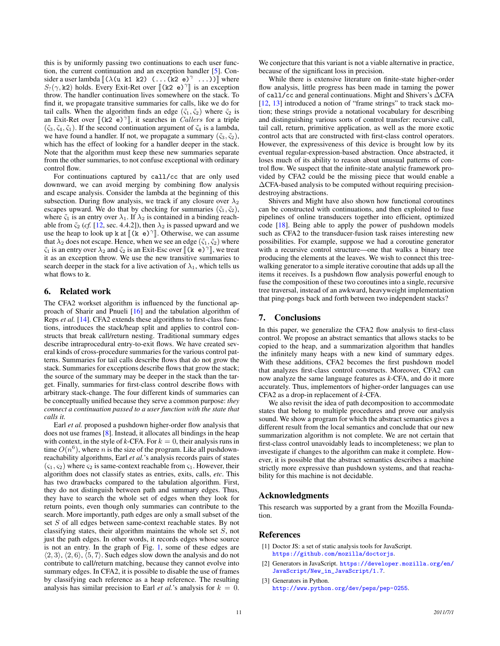this is by uniformly passing two continuations to each user function, the current continuation and an exception handler [\[5\]](#page-11-6). Consider a user lambda  $[(\lambda(u \ k1 \ k2) (\dots (k2 \ e)^{\gamma} \dots)]]$  where  $S_0(\alpha \ k2)$  holds. Every Exit Ret over  $[(k2 \ e)^{\gamma}]$  is an exception  $S_2(\gamma, k2)$  holds. Every Exit-Ret over  $[(k2 e)^{\gamma}]$  is an exception<br>throw. The handler continuation lives somewhere on the stack. To throw. The handler continuation lives somewhere on the stack. To find it, we propagate transitive summaries for calls, like we do for tail calls. When the algorithm finds an edge  $(\tilde{\zeta}_1, \tilde{\zeta}_2)$  where  $\tilde{\zeta}_2$  is an Exit-Ret over  $[(k2 e)^{\gamma}]$ , it searches in *Callers* for a triple  $(\tilde{c}, \tilde{c}, \tilde{c})$ . If the second continuation argument of  $\tilde{c}$ , is a lambda  $(\tilde{\varsigma}_3, \tilde{\varsigma}_4, \tilde{\varsigma}_1)$ . If the second continuation argument of  $\tilde{\varsigma}_4$  is a lambda, we have found a handler. If not, we propagate a summary  $(\tilde{\varsigma}_3, \tilde{\varsigma}_2)$ , which has the effect of looking for a handler deeper in the stack. Note that the algorithm must keep these new summaries separate from the other summaries, to not confuse exceptional with ordinary control flow.

For continuations captured by call/cc that are only used downward, we can avoid merging by combining flow analysis and escape analysis. Consider the lambda at the beginning of this subsection. During flow analysis, we track if any closure over  $\lambda_2$ escapes upward. We do that by checking for summaries  $(\tilde{\varsigma}_1, \tilde{\varsigma}_2)$ , where  $\tilde{\varsigma}_1$  is an entry over  $\lambda_1$ . If  $\lambda_2$  is contained in a binding reachable from  $\tilde{\varsigma}_2$  (*cf.* [\[12,](#page-11-17) sec. 4.4.2]), then  $\lambda_2$  is passed upward and we use the heap to look up k at  $[(\mathbf{k} \cdot \mathbf{e})^{\gamma}]$ . Otherwise, we can assume that  $\lambda_0$  does not escape. Hence, when we see an edge  $(\tilde{c}, \tilde{c}_0)$  where that  $\lambda_2$  does not escape. Hence, when we see an edge ( $\tilde{\varsigma}_1$ ,  $\tilde{\varsigma}_2$ ) where  $\tilde{\zeta}_1$  is an entry over  $\lambda_2$  and  $\tilde{\zeta}_2$  is an Exit-Esc over  $[(\tilde{k} \dot{e})^{\gamma}]$ , we treat<br>it as an exception throw. We use the new transitive summaries to it as an exception throw. We use the new transitive summaries to search deeper in the stack for a live activation of  $\lambda_1$ , which tells us what flows to k.

# 6. Related work

The CFA2 workset algorithm is influenced by the functional approach of Sharir and Pnueli [\[16\]](#page-11-1) and the tabulation algorithm of Reps *et al.* [\[14\]](#page-11-0). CFA2 extends these algorithms to first-class functions, introduces the stack/heap split and applies to control constructs that break call/return nesting. Traditional summary edges describe intraprocedural entry-to-exit flows. We have created several kinds of cross-procedure summaries for the various control patterns. Summaries for tail calls describe flows that do not grow the stack. Summaries for exceptions describe flows that grow the stack; the source of the summary may be deeper in the stack than the target. Finally, summaries for first-class control describe flows with arbitrary stack-change. The four different kinds of summaries can be conceptually unified because they serve a common purpose: *they connect a continuation passed to a user function with the state that calls it.*

Earl *et al.* proposed a pushdown higher-order flow analysis that does not use frames [\[8\]](#page-11-18). Instead, it allocates all bindings in the heap with context, in the style of  $k$ -CFA. For  $k = 0$ , their analysis runs in time  $O(n^6)$ , where n is the size of the program. Like all pushdownreachability algorithms, Earl *et al.*'s analysis records pairs of states  $(\varsigma_1, \varsigma_2)$  where  $\varsigma_2$  is same-context reachable from  $\varsigma_1$ . However, their algorithm does not classify states as entries, exits, calls, *etc*. This has two drawbacks compared to the tabulation algorithm. First, they do not distinguish between path and summary edges. Thus, they have to search the whole set of edges when they look for return points, even though only summaries can contribute to the search. More importantly, path edges are only a small subset of the set S of all edges between same-context reachable states. By not classifying states, their algorithm maintains the whole set S, not just the path edges. In other words, it records edges whose source is not an entry. In the graph of Fig. [1,](#page-1-0) some of these edges are  $\langle 2, 3 \rangle$ ,  $\langle 2, 6 \rangle$ ,  $\langle 5, 7 \rangle$ . Such edges slow down the analysis and do not contribute to call/return matching, because they cannot evolve into summary edges. In CFA2, it is possible to disable the use of frames by classifying each reference as a heap reference. The resulting analysis has similar precision to Earl *et al.*'s analysis for  $k = 0$ .

While there is extensive literature on finite-state higher-order flow analysis, little progress has been made in taming the power of call/cc and general continuations. Might and Shivers's ∆CFA [\[12,](#page-11-17) [13\]](#page-11-19) introduced a notion of "frame strings" to track stack motion; these strings provide a notational vocabulary for describing and distinguishing various sorts of control transfer: recursive call, tail call, return, primitive application, as well as the more exotic control acts that are constructed with first-class control operators. However, the expressiveness of this device is brought low by its eventual regular-expression-based abstraction. Once abstracted, it loses much of its ability to reason about unusual patterns of control flow. We suspect that the infinite-state analytic framework provided by CFA2 could be the missing piece that would enable a ∆CFA-based analysis to be computed without requiring precisiondestroying abstractions.

Shivers and Might have also shown how functional coroutines can be constructed with continuations, and then exploited to fuse pipelines of online transducers together into efficient, optimized code [\[18\]](#page-11-20). Being able to apply the power of pushdown models such as CFA2 to the transducer-fusion task raises interesting new possibilities. For example, suppose we had a coroutine generator with a recursive control structure—one that walks a binary tree producing the elements at the leaves. We wish to connect this treewalking generator to a simple iterative coroutine that adds up all the items it receives. Is a pushdown flow analysis powerful enough to fuse the composition of these two coroutines into a single, recursive tree traversal, instead of an awkward, heavyweight implementation that ping-pongs back and forth between two independent stacks?

# 7. Conclusions

In this paper, we generalize the CFA2 flow analysis to first-class control. We propose an abstract semantics that allows stacks to be copied to the heap, and a summarization algorithm that handles the infinitely many heaps with a new kind of summary edges. With these additions, CFA2 becomes the first pushdown model that analyzes first-class control constructs. Moreover, CFA2 can now analyze the same language features as *k*-CFA, and do it more accurately. Thus, implementors of higher-order languages can use CFA2 as a drop-in replacement of *k*-CFA.

We also revisit the idea of path decomposition to accommodate states that belong to multiple procedures and prove our analysis sound. We show a program for which the abstract semantics gives a different result from the local semantics and conclude that our new summarization algorithm is not complete. We are not certain that first-class control unavoidably leads to incompleteness; we plan to investigate if changes to the algorithm can make it complete. However, it is possible that the abstract semantics describes a machine strictly more expressive than pushdown systems, and that reachability for this machine is not decidable.

## Acknowledgments

This research was supported by a grant from the Mozilla Foundation.

## References

- <span id="page-10-2"></span>[1] Doctor JS: a set of static analysis tools for JavaScript. <https://github.com/mozilla/doctorjs>.
- <span id="page-10-1"></span>[2] Generators in JavaScript. [https://developer.mozilla.org/en/](https://developer.mozilla.org/en/JavaScript/New_in_JavaScript/1.7) [JavaScript/New\\_in\\_JavaScript/1.7](https://developer.mozilla.org/en/JavaScript/New_in_JavaScript/1.7).
- <span id="page-10-0"></span>[3] Generators in Python. <http://www.python.org/dev/peps/pep-0255>.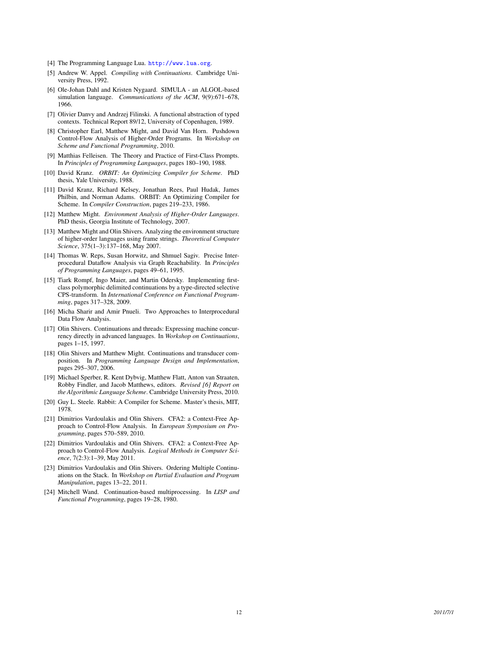- <span id="page-11-4"></span>[4] The Programming Language Lua. <http://www.lua.org>.
- <span id="page-11-6"></span>[5] Andrew W. Appel. *Compiling with Continuations*. Cambridge University Press, 1992.
- <span id="page-11-3"></span>[6] Ole-Johan Dahl and Kristen Nygaard. SIMULA - an ALGOL-based simulation language. *Communications of the ACM*, 9(9):671–678, 1966.
- <span id="page-11-7"></span>[7] Olivier Danvy and Andrzej Filinski. A functional abstraction of typed contexts. Technical Report 89/12, University of Copenhagen, 1989.
- <span id="page-11-18"></span>[8] Christopher Earl, Matthew Might, and David Van Horn. Pushdown Control-Flow Analysis of Higher-Order Programs. In *Workshop on Scheme and Functional Programming*, 2010.
- <span id="page-11-8"></span>[9] Matthias Felleisen. The Theory and Practice of First-Class Prompts. In *Principles of Programming Languages*, pages 180–190, 1988.
- <span id="page-11-15"></span>[10] David Kranz. *ORBIT: An Optimizing Compiler for Scheme*. PhD thesis, Yale University, 1988.
- <span id="page-11-13"></span>[11] David Kranz, Richard Kelsey, Jonathan Rees, Paul Hudak, James Philbin, and Norman Adams. ORBIT: An Optimizing Compiler for Scheme. In *Compiler Construction*, pages 219–233, 1986.
- <span id="page-11-17"></span>[12] Matthew Might. *Environment Analysis of Higher-Order Languages* . PhD thesis, Georgia Institute of Technology, 2007.
- <span id="page-11-19"></span>[13] Matthew Might and Olin Shivers. Analyzing the environment structure of higher-order languages using frame strings. *Theoretical Computer Science*, 375(1–3):137–168, May 2007.
- <span id="page-11-0"></span>[14] Thomas W. Reps, Susan Horwitz, and Shmuel Sagiv. Precise Interprocedural Dataflow Analysis via Graph Reachability. In *Principles of Programming Languages*, pages 49–61, 1995.
- <span id="page-11-9"></span>[15] Tiark Rompf, Ingo Maier, and Martin Odersky. Implementing firstclass polymorphic delimited continuations by a type-directed selective CPS-transform. In *International Conference on Functional Programming*, pages 317–328, 2009.
- <span id="page-11-1"></span>[16] Micha Sharir and Amir Pnueli. Two Approaches to Interprocedural Data Flow Analysis.
- <span id="page-11-10"></span>[17] Olin Shivers. Continuations and threads: Expressing machine concurrency directly in advanced languages. In *Workshop on Continuations*, pages 1–15, 1997.
- <span id="page-11-20"></span>[18] Olin Shivers and Matthew Might. Continuations and transducer composition. In *Programming Language Design and Implementation*, pages 295–307, 2006.
- <span id="page-11-5"></span>[19] Michael Sperber, R. Kent Dybvig, Matthew Flatt, Anton van Straaten, Robby Findler, and Jacob Matthews, editors. *Revised [6] Report on the Algorithmic Language Scheme*. Cambridge University Press, 2010.
- <span id="page-11-14"></span>[20] Guy L. Steele. Rabbit: A Compiler for Scheme. Master's thesis, MIT, 1978.
- <span id="page-11-2"></span>[21] Dimitrios Vardoulakis and Olin Shivers. CFA2: a Context-Free Approach to Control-Flow Analysis. In *European Symposium on Programming*, pages 570–589, 2010.
- <span id="page-11-16"></span>[22] Dimitrios Vardoulakis and Olin Shivers. CFA2: a Context-Free Approach to Control-Flow Analysis. *Logical Methods in Computer Science*, 7(2:3):1–39, May 2011.
- <span id="page-11-12"></span>[23] Dimitrios Vardoulakis and Olin Shivers. Ordering Multiple Continuations on the Stack. In *Workshop on Partial Evaluation and Program Manipulation*, pages 13–22, 2011.
- <span id="page-11-11"></span>[24] Mitchell Wand. Continuation-based multiprocessing. In *LISP and Functional Programming*, pages 19–28, 1980.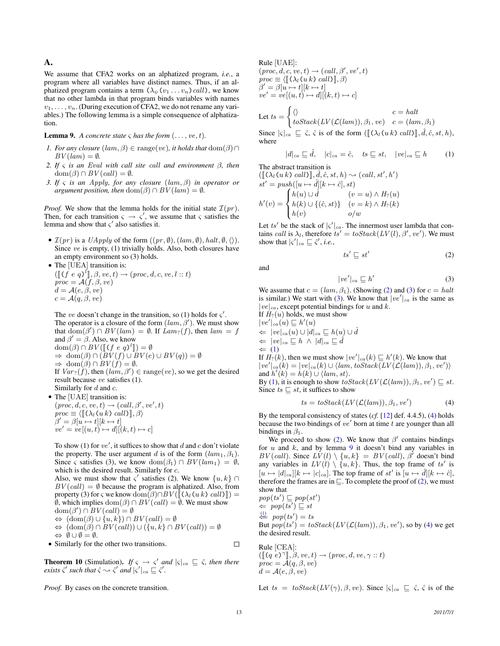# A.

We assume that CFA2 works on an alphatized program, *i.e.*, a program where all variables have distinct names. Thus, if an alphatized program contains a term  $(\lambda_{\psi}(v_1 \dots v_n) \, \text{call})$ , we know that no other lambda in that program binds variables with names  $v_1, \ldots, v_n$ . (During execution of CFA2, we do not rename any variables.) The following lemma is a simple consequence of alphatization.

<span id="page-12-4"></span>**Lemma 9.** *A concrete state*  $\varsigma$  *has the form*  $(\ldots, ve, t)$ *.* 

- *1. For any closure*  $(lam, \beta) \in \text{range}(ve)$ *, it holds that*  $dom(\beta) \cap$  $BV(lam) = \emptyset.$
- *2. If* ς *is an* Eval *with call site* call *and environment* β*, then*  $dom(\beta) \cap BV(call) = \emptyset.$
- *3. If* ς *is an* Apply*, for any closure* (lam, β) *in operator or argument position, then* dom $(\beta) \cap BV(\text{lam}) = \emptyset$ *.*

*Proof.* We show that the lemma holds for the initial state  $\mathcal{I}(pr)$ . Then, for each transition  $\varsigma \to \varsigma'$ , we assume that  $\varsigma$  satisfies the lemma and show that  $\varsigma'$  also satisfies it.

•  $\mathcal{I}(pr)$  is a *UApply* of the form  $((pr, \emptyset), (lam, \emptyset), halt, \emptyset, \langle).$ Since ve is empty, (1) trivially holds. Also, both closures have an empty environment so  $(3)$  holds.<br>The [HEA] transition is:  $T_{\rm TED~A1~t}$ 

The [UEA] transition is:  
\n
$$
([[ (f e q)^l]], \beta, ve, t) \rightarrow (proc, d, c, ve, l :: t)
$$
\n
$$
proc = \mathcal{A}(f, \beta, ve)
$$
\n
$$
d = \mathcal{A}(e, \beta, ve)
$$
\n
$$
c = \mathcal{A}(q, \beta, ve)
$$

The ve doesn't change in the transition, so (1) holds for  $\varsigma'$ . The operator is a closure of the form  $(lam, \beta')$ . We must show that  $\text{dom}(\beta') \cap BV(\text{lam}) = \emptyset$ . If  $\text{Lam}_2(f)$ , then  $\text{lam} = f$ and  $\beta' = \beta$ . Also, we know  $dom(\beta) \cap BV([\lbrack (f e q)^l \rbrack) = \emptyset$ <br>  $\rightarrow dom(\beta) \cap (RV(f) + RV(e))$  $\Rightarrow$  dom( $\beta$ )  $\cap$  ( $BV(f) \cup BV(e) \cup BV(q) = \emptyset$  $\Rightarrow$  dom( $\beta$ )  $\cap$   $BV(f) = \emptyset$ . If  $Var_?(\hat{f})$ , then  $(lam, \beta') \in \text{range}(ve)$ , so we get the desired result because ve satisfies (1). Similarly for  $d$  and  $c$ .

• The [UAE] transition is:  
\n
$$
(proc, d, c, ve, t) \rightarrow (call, \beta', ve', t)
$$
  
\n $proc \equiv \langle [[\langle \lambda_l (u k) call \rangle]], \beta \rangle$   
\n $\beta' = \beta[u \rightarrow t][k \rightarrow t]$   
\n $ve' = ve[(u, t) \rightarrow d][(k, t) \rightarrow c]$ 

To show (1) for  $ve'$ , it suffices to show that d and c don't violate the property. The user argument d is of the form  $(lam_1, \beta_1)$ . Since  $\varsigma$  satisfies (3), we know dom $(\beta_1) \cap BV(lam_1) = \emptyset$ , which is the desired result. Similarly for c.

Also, we must show that  $\varsigma'$  satisfies (2). We know  $\{u, k\} \cap$  $BV(call) = \emptyset$  because the program is alphatized. Also, from property (3) for  $\varsigma$  we know dom $(\beta) \cap BV([\lceil (\lambda_l(u k) \; \text{call}) \rceil]) =$  $\emptyset$ , which implies  $\text{dom}(\beta) \cap BV(\text{call}) = \emptyset$ . We must show  $dom(\beta') \cap BV(call) = \emptyset$  $\Leftrightarrow$   $(\text{dom}(\beta) \cup \{u, k\}) \cap BV(\text{call}) = \emptyset$  $\Leftrightarrow$   $(\text{dom}(\beta) \cap BV(\text{call})) \cup (\{u, k\} \cap BV(\text{call})) = \emptyset$  $\Leftrightarrow \emptyset \cup \emptyset = \emptyset.$ 

• Similarly for the other two transitions.

**Theorem 10** (Simulation). *If*  $\varsigma \to \varsigma'$  *and*  $|\varsigma|_{ca} \subseteq \hat{\varsigma}$ , *then there exists*  $\hat{\zeta}'$  *such that*  $\hat{\zeta} \rightarrow \hat{\zeta}'$  *and*  $|\zeta'|_{ca} \sqsubseteq \hat{\zeta}'$ .

*Proof.* By cases on the concrete transition.

Rule [UAE]:

 $(\text{proc}, d, c, ve, t) \rightarrow (call, \beta', ve', t)$  $proc \equiv \langle [\![ (\lambda_l(u k) \; call ) ]\!], \beta \rangle$  $\beta' = \beta[u \mapsto t][k \mapsto t]$  $ve' = ve[(u, t) \mapsto d][(k, t) \mapsto c]$ 

Let 
$$
ts = \begin{cases} \langle \rangle & c = halt \\ toStack(LV(\mathcal{L}(lam)), \beta_1, ve) & c = (lam, \beta_1) \end{cases}
$$

Since  $|\varsigma|_{ca} \subseteq \hat{\varsigma}$ ,  $\hat{\varsigma}$  is of the form  $([\![ (\lambda_l(u k) \; \textit{call}) ], \hat{d}, \hat{c}, st, h),$ where

<span id="page-12-2"></span>
$$
|d|_{ca} \sqsubseteq \hat{d}, \quad |c|_{ca} = \hat{c}, \quad ts \sqsubseteq st, \quad |ve|_{ca} \sqsubseteq h \tag{1}
$$

The abstract transition is

 $(\llbracket (\lambda_l(u_k), cal \rangle \rrbracket, \hat{d}, \hat{c}, st, h) \sim (call, st', h')$  $st' = push([u \mapsto \hat{d}][k \mapsto \hat{c}], st)$  $h'(v) =$  $\sqrt{2}$  $\int$  $\mathcal{L}$  $h(u) \cup \hat{d}$   $(v = u) \wedge H_? (u)$  $h(k) \cup \{(\hat{c}, st)\}$   $(v = k) \wedge H_?(k)$  $h(v)$   $o/w$ 

Let ts' be the stack of  $|\varsigma'|_{ca}$ . The innermost user lambda that contains *call* is  $\lambda_l$ , therefore  $ts' = toStack(LV(l), \beta', ve')$ . We must show that  $|\varsigma'|_{ca} \sqsubseteq \hat{\varsigma}'$ , *i.e.*,

<span id="page-12-0"></span>
$$
ts' \sqsubseteq st'
$$
 (2)

and

<span id="page-12-1"></span>
$$
|ve'|_{ca} \sqsubseteq h' \tag{3}
$$

We assume that  $c = (lam, \beta_1)$ . (Showing [\(2\)](#page-12-0) and [\(3\)](#page-12-1) for  $c = halt$ is similar.) We start with [\(3\)](#page-12-1). We know that  $|ve'|_{ca}$  is the same as  $|ve|_{ca}$ , except potential bindings for u and k. If  $H<sub>2</sub>(u)$  holds, we must show

 $|ve'|_{ca}(u) \sqsubseteq h'(u)$  $\Leftarrow |ve|_{ca}(u) \cup |d|_{ca} \sqsubseteq h(u) \cup \hat{d}$  $\Leftrightarrow$   $|ve|_{ca} \sqsubseteq h \wedge |d|_{ca} \sqsubseteq \hat{d}$  $\Leftarrow$  [\(1\)](#page-12-2)

If  $H_?(k)$ , then we must show  $|ve'|_{ca}(k) \sqsubseteq h'(k)$ . We know that  $|ve'|_{ca}(k) = |ve|_{ca}(k) \cup \langle lam, toStack(LV(\mathcal{L}(lam)), \beta_1, ve')\rangle$ and  $h'(k) = h(k) \cup \langle lam, st \rangle$ . By [\(1\)](#page-12-2), it is enough to show  $toStack(LV(\mathcal{L}(lam)), \beta_1, ve') \sqsubseteq st$ .

Since  $ts \sqsubseteq st$ , it suffices to show

<span id="page-12-3"></span>
$$
ts = toStack(LV(\mathcal{L}(lam)), \beta_1, ve')
$$
 (4)

By the temporal consistency of states (*cf.* [\[12\]](#page-11-17) def. 4.4.5), [\(4\)](#page-12-3) holds because the two bindings of  $ve'$  born at time  $t$  are younger than all bindings in  $\beta_1$ .

We proceed to show [\(2\)](#page-12-0). We know that  $\beta'$  contains bindings for  $u$  and  $k$ , and by lemma  $9$  it doesn't bind any variables in  $BV(call)$ . Since  $LV(l) \setminus \{u, k\} = BV(call)$ ,  $\beta'$  doesn't bind any variables in  $LV(l) \setminus \{u, k\}$ . Thus, the top frame of ts' is  $[u \mapsto |d|_{ca}][k \mapsto |c|_{ca}]$ . The top frame of  $st'$  is  $[u \mapsto \hat{d}][k \mapsto \hat{c}]$ , therefore the frames are in  $\sqsubseteq$ . To complete the proof of [\(2\)](#page-12-0), we must show that

 $pop(ts') \sqsubseteq pop(st')$  $\Leftrightarrow pop(ts') \sqsubseteq st$  $\xleftarrow{\text{(1)}}$  $\xleftarrow{\text{(1)}}$  $\xleftarrow{\text{(1)}}$  pop $(ts') = ts$ But  $\overrightarrow{pop(ts')} = \text{toStack}(LV(\mathcal{L}(lam)), \beta_1, \text{ve}'),$  so by [\(4\)](#page-12-3) we get the desired result.

Rule [CEA]:  $([\![(q \ e)^{\gamma}]\!], \beta, ve, t) \rightarrow (proc, d, ve, \gamma :: t)$ <br>  $proc = A(a, \beta, ve)$  $proc = A(q, \beta, ve)$  $d = \mathcal{A}(e, \beta, ve)$ 

Let  $ts = toStack(LV(\gamma), \beta, ve)$ . Since  $|\varsigma|_{ca} \subseteq \hat{\varsigma}$ ,  $\hat{\varsigma}$  is of the

 $\Box$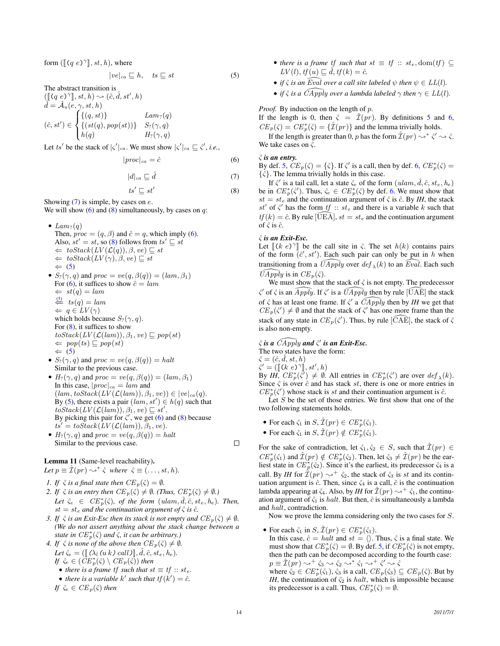form  $(\llbracket (q \ e^{\gamma}\rrbracket, st, h),$  where

<span id="page-13-3"></span>
$$
|ve|_{ca} \sqsubseteq h, \quad ts \sqsubseteq st \tag{5}
$$

The abstract transition is

 $(\llbracket (q \ e)^\gamma \rrbracket, st, h) \rightsquigarrow (\hat{c}, \hat{d}, st', h)$  $\hat{d} = \hat{\mathcal{A}}_u(e, \gamma, st, h)$  $(\hat{c}, st') \in$  $\sqrt{2}$  $\int$  $\mathsf{I}$  $\{(q, st)\}\$   $Lam_?(q)$  $\{(st(q), pop(st))\}$   $S_?(\gamma, q)$  $h(q)$  H<sub>?</sub>( $\gamma$ , q)

Let ts' be the stack of  $|\varsigma'|_{ca}$ . We must show  $|\varsigma'|_{ca} \sqsubseteq \hat{\varsigma}'$ , *i.e.*,

<span id="page-13-1"></span>
$$
|proc|_{ca} = \hat{c} \tag{6}
$$

<span id="page-13-0"></span>
$$
|d|_{ca} \sqsubseteq \hat{d} \tag{7}
$$

<span id="page-13-2"></span>
$$
ts' \sqsubseteq st' \tag{8}
$$

Showing  $(7)$  is simple, by cases on  $e$ . We will show  $(6)$  and  $(8)$  simultaneously, by cases on q:

- Lam<sub>?</sub> $(q)$ Then,  $proc = (q, \beta)$  and  $\hat{c} = q$ , which imply [\(6\)](#page-13-1). Also,  $st' = st$ , so [\(8\)](#page-13-2) follows from  $ts' \sqsubseteq st$  $\Leftarrow \; \text{toStack}(LV(\mathcal{L}(q)), \beta, \text{ve}) \sqsubseteq \text{st}$  $\Leftarrow$  to Stack( $LV(\gamma), \beta, ve) \sqsubseteq st$  $\Leftarrow$  [\(5\)](#page-13-3) •  $S_2(\gamma, q)$  and  $proc = ve(q, \beta(q)) = (lam, \beta_1)$
- For [\(6\)](#page-13-1), it suffices to show  $\hat{c} = \text{lam}$  $\Leftarrow st(q) = lam$  $\xleftarrow{5}$  ts(q) = lam  $\Leftrightarrow q \in LV(\gamma)$ which holds because  $S_2(\gamma, q)$ . For  $(8)$ , it suffices to show  $toStack(LV(\mathcal{L}(lam)), \beta_1, ve) \sqsubseteq pop(st)$  $\Leftarrow$  pop(ts)  $\sqsubseteq pop(st)$  $\Leftarrow$  [\(5\)](#page-13-3)
- $S_2(\gamma, q)$  and  $proc = ve(q, \beta(q)) = halt$ Similar to the previous case.
- $H_?(\gamma, q)$  and  $proc = ve(q, \beta(q)) = (lam, \beta_1)$ In this case,  $|proc|_{ca} = lam$  and  $(lam, toStack(LV(\mathcal{L}(lam)), \beta_1, ve)) \in |ve|_{ca}(q).$ By [\(5\)](#page-13-3), there exists a pair  $(lam, st') \in h(q)$  such that  $toStack(LV(\mathcal{L}(lam)), \beta_1, ve) \sqsubseteq st'.$ By picking this pair for  $\hat{\varsigma}'$ , we get [\(6\)](#page-13-1) and [\(8\)](#page-13-2) because  $ts' = toStack(LV(\mathcal{L}(lam)), \beta_1, ve).$
- $H_2(\gamma, q)$  and  $proc = ve(q, \beta(q)) = halt$ Similar to the previous case.

# <span id="page-13-4"></span>Lemma 11 (Same-level reachability).

Let  $p \equiv \hat{\mathcal{I}}(pr) \leadsto^* \hat{\varsigma}$  where  $\hat{\varsigma} \equiv (\ldots, st, h)$ .

- *1. If*  $\hat{\varsigma}$  *is a final state then*  $CE_p(\hat{\varsigma}) = \emptyset$ *.*
- *2. If*  $\hat{\varsigma}$  *is an entry then*  $CE_p(\hat{\varsigma}) \neq \emptyset$ *. (Thus,*  $CE_p^*(\hat{\varsigma}) \neq \emptyset$ *.)* Let  $\hat{\zeta}_e \in CE_p^*(\hat{\zeta})$ , of the form  $(ulam, \hat{d}, \hat{c}, s t_e, h_e)$ . Then,  $st = st_e$  *and the continuation argument of*  $\hat{\varsigma}$  *is*  $\hat{c}$ *.*
- *3. If*  $\hat{\varsigma}$  *is an Exit-Esc then its stack is not empty and*  $CE_p(\hat{\varsigma}) \neq \emptyset$ *. (We do not assert anything about the stack change between a state in*  $CE_p^*(\hat{\varsigma})$  *and*  $\hat{\varsigma}$ *, it can be arbitrary.*)
- *4. If*  $\hat{\varsigma}$  *is none of the above then*  $CE_p(\hat{\varsigma}) \neq \emptyset$ *.* Let  $\hat{\zeta}_e = (\llbracket (\lambda_l(u k) \, \text{call}) \rrbracket, d, \hat{c}, st_e, h_e).$ *If*  $\hat{\zeta}_e \in (\check{CE}^*_p(\hat{\zeta}) \setminus CE_p(\hat{\zeta}))$  then
	- *there is a frame tf such that*  $st \equiv tf :: st_e$ .
	- there is a variable k' such that  $tf(k') = \hat{c}$ .

$$
If \ \hat{\zeta}_e \in CE_p(\hat{\zeta}) \ then
$$

- *there is a frame tf such that*  $st \equiv tf :: st_e, dom(tf) \subseteq$  $LV(l), tf(u) \sqsubseteq \hat{d}, tf(k) = \hat{c}$ .
- *if*  $\hat{\zeta}$  *is an Eval over a call site labeled*  $\psi$  *then*  $\psi \in LL(l)$ *.*
- *if*  $\hat{\varsigma}$  *is a*  $\widehat{C}$ *Apply over a lambda labeled*  $\gamma$  *then*  $\gamma \in LL(l)$ *.*

### *Proof.* By induction on the length of p.

If the length is 0, then  $\hat{\zeta} = \mathcal{I}(pr)$ . By definitions [5](#page-9-4) and [6,](#page-9-5)  $CE_p(\hat{\varsigma}) = CE_p^*(\hat{\varsigma}) = {\{\hat{\mathcal{I}}(pr)\}}$  and the lemma trivially holds.

If the length is greater than 0, p has the form  $\hat{\mathcal{I}}(pr) \rightsquigarrow^* \hat{\varsigma}' \rightsquigarrow \hat{\varsigma}$ . We take cases on  $\hat{\varsigma}$ .

### $\hat{\varsigma}$  *is an entry.*

By def. [5,](#page-9-4)  $\overline{CE}_p(\hat{\varsigma}) = {\{\hat{\varsigma}\}\}\$ . If  $\hat{\varsigma}'$  is a call, then by def. [6,](#page-9-5)  $\overline{CE}_p^*(\hat{\varsigma}) =$  $\{\hat{\varsigma}\}\$ . The lemma trivially holds in this case.

If  $\hat{\zeta}'$  is a tail call, let a state  $\hat{\zeta}_e$  of the form  $(ulam, \hat{d}, \hat{c}, st_e, h_e)$ be in  $CE_p^*(\hat{\zeta}')$ . Thus,  $\hat{\zeta}_e \in CE_p^*(\hat{\zeta})$  by def. [6.](#page-9-5) We must show that  $st = st_e$  and the continuation argument of  $\hat{\varsigma}$  is  $\hat{c}$ . By *IH*, the stack  $st'$  of  $\hat{\zeta}'$  has the form  $tf :: st_e$  and there is a variable k such that  $tf(k) = \hat{c}$ . By rule [UEA],  $st = st_e$  and the continuation argument of  $\hat{\varsigma}$  is  $\hat{c}$ .

### ςˆ *is an Exit-Esc.*

Let  $[(k e)^{\gamma}]$  be the call site in  $\hat{\zeta}$ . The set  $h(k)$  contains pairs of the form  $(\hat{\zeta}' \cdot st')$ . Each such pair can only be put in h when of the form  $(\hat{c}', st')$ . Each such pair can only be put in h when transitioning from a  $\widehat{UApply}$  over  $\operatorname{def}_{\lambda}(k)$  to an  $\widehat{Eval}$ . Each such  $\widehat{U}$ Apply is in  $CE_p(\hat{\zeta})$ .

We must show that the stack of  $\hat{\varsigma}$  is not empty. The predecessor  $\hat{\zeta}$  of  $\hat{\zeta}$  is an  $\widehat{Apply}$ . If  $\hat{\zeta}$  is a  $\widehat{UApply}$  then by rule  $\widehat{[UAE]}$  the stack of  $\hat{\varsigma}$  has at least one frame. If  $\hat{\varsigma}'$  a  $\widehat{CApply}$  then by *IH* we get that  $CE_p(\zeta') \neq \emptyset$  and that the stack of  $\zeta'$  has one more frame than the stack of any state in  $CE_p(\hat{\zeta}')$ . Thus, by rule  $\widehat{[CAE]}$ , the stack of  $\hat{\zeta}$ is also non-empty.

 $\hat{\varsigma}$  is a  $\widehat{CApply}$  and  $\hat{\varsigma}'$  is an Exit-Esc. The two states have the form:  $\hat{\varsigma} = (\hat{c}, \hat{d}, st, h)$ 

 $\hat{\zeta}' = ([(\vec{k} \ \vec{e})^{\gamma}], st', h)$ <br>
By *IH CE*<sup>\*</sup> $(\hat{\epsilon}') \neq \emptyset$ By *IH*,  $CE_p^*(\vec{\zeta}') \neq \emptyset$ . All entries in  $CE_p^*(\vec{\zeta}')$  are over  $def_\lambda(k)$ . Since  $\hat{\varsigma}$  is over  $\hat{c}$  and has stack st, there is one or more entries in  $CE_p^*(\hat{\zeta}')$  whose stack is st and their continuation argument is  $\hat{c}$ .

Let  $S$  be the set of those entries. We first show that one of the two following statements holds.

- For each  $\hat{\varsigma}_1$  in  $S, \hat{\mathcal{I}}(pr) \in CE_p^*(\hat{\varsigma}_1)$ .
- For each  $\hat{\varsigma}_1$  in  $S, \hat{\mathcal{I}}(pr) \notin CE_p^*(\hat{\varsigma}_1)$ .

For the sake of contradiction, let  $\hat{\zeta}_1, \hat{\zeta}_2 \in S$ , such that  $\hat{\mathcal{I}}(pr) \in$  $CE_p^*(\hat{\zeta}_1)$  and  $\hat{\mathcal{I}}(pr) \notin CE_p^*(\hat{\zeta}_2)$ . Then, let  $\hat{\zeta}_3 \neq \hat{\mathcal{I}}(pr)$  be the earliest state in  $CE_p^*(\hat{\varsigma}_2)$ . Since it's the earliest, its predecessor  $\hat{\varsigma}_4$  is a call. By *IH* for  $\hat{\mathcal{I}}(pr) \rightarrow^{+} \hat{\varsigma}_2$ , the stack of  $\hat{\varsigma}_3$  is st and its continuation argument is  $\hat{c}$ . Then, since  $\hat{\varsigma}_4$  is a call,  $\hat{c}$  is the continuation lambda appearing at  $\hat{\varsigma}_4$ . Also, by *IH* for  $\hat{\mathcal{I}}(pr) \rightsquigarrow^+ \hat{\varsigma}_1$ , the continuation argument of  $\hat{\varsigma}_1$  is *halt*. But then,  $\hat{c}$  is simultaneously a lambda and halt, contradiction.

Now we prove the lemma considering only the two cases for S.

• For each  $\hat{\varsigma}_1$  in  $S, \hat{\mathcal{I}}(pr) \in CE_p^*(\hat{\varsigma}_1)$ .

In this case,  $\hat{c} = \text{halt}$  and  $st = \langle \rangle$ . Thus,  $\hat{\varsigma}$  is a final state. We must show that  $CE_p^*(\hat{\varsigma}) = \emptyset$ . By def. [5,](#page-9-4) if  $CE_p^*(\hat{\varsigma})$  is not empty, then the path can be decomposed according to the fourth case:  $p \equiv \hat{\mathcal{I}}(p r) \leadsto^{+} \hat{\varsigma}_3 \leadsto \hat{\varsigma}_2 \leadsto^{*} \hat{\varsigma}_1 \leadsto^{+} \hat{\varsigma}' \leadsto \hat{\varsigma}$ 

where  $\hat{\zeta}_2 \in CE_p^*(\hat{\zeta}_1), \hat{\zeta}_3$  is a call,  $CE_p(\hat{\zeta}_3) \subseteq CE_p(\hat{\zeta})$ . But by *IH*, the continuation of  $\hat{\zeta}_2$  is *halt*, which is impossible because its predecessor is a call. Thus,  $CE_p^*(\hat{\varsigma}) = \emptyset$ .

 $\Box$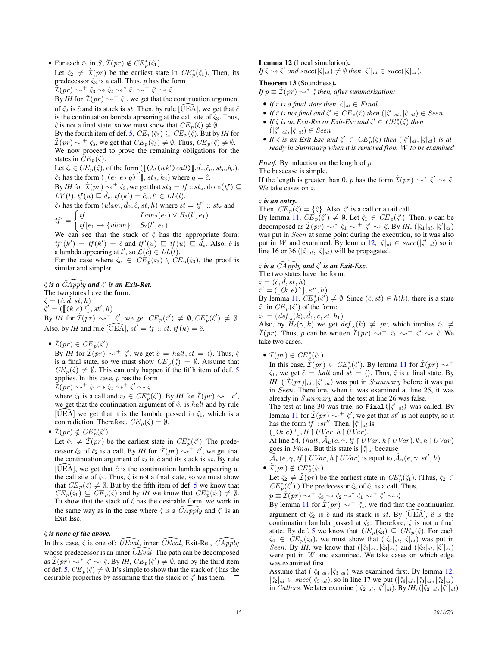• For each  $\hat{\varsigma}_1$  in  $S, \hat{\mathcal{I}}(pr) \notin CE_p^*(\hat{\varsigma}_1)$ .

Let  $\hat{\zeta}_2 \neq \hat{\mathcal{I}}(pr)$  be the earliest state in  $CE_p^*(\hat{\zeta}_1)$ . Then, its predecessor  $\hat{\varsigma}_3$  is a call. Thus, p has the form

 $\hat{\tilde{\mathcal{I}}}(pr) \rightsquigarrow^+ \hat{\varsigma}_3 \rightsquigarrow \hat{\varsigma}_2 \rightsquigarrow^* \hat{\varsigma}_1 \rightsquigarrow^+ \hat{\varsigma}' \rightsquigarrow \hat{\varsigma}_2$ 

By *IH* for  $\hat{\mathcal{I}}(pr) \rightsquigarrow^+ \hat{\varsigma}_1$ , we get that the continuation argument of  $\hat{\varsigma}_2$  is  $\hat{c}$  and its stack is st. Then, by rule [UEA], we get that  $\hat{c}$ is the continuation lambda appearing at the call site of  $\hat{\varsigma}_3$ . Thus,  $\hat{\varsigma}$  is not a final state, so we must show that  $CE_p(\hat{\varsigma}) \neq \emptyset$ .

By the fourth item of def. [5,](#page-9-4)  $CE_p(\hat{\varsigma}_3) \subseteq CE_p(\hat{\varsigma})$ . But by *IH* for  $\hat{\mathcal{I}}(pr) \rightarrow^+ \hat{\varsigma}_3$ , we get that  $CE_p(\hat{\varsigma}_3) \neq \emptyset$ . Thus,  $CE_p(\hat{\varsigma}) \neq \emptyset$ . We now proceed to prove the remaining obligations for the states in  $CE_p(\hat{\varsigma})$ .

Let  $\hat{\zeta}_e \in CE_p(\hat{\zeta})$ , of the form  $([\![ (\lambda_l(u k') \, call \, ]\!], \hat{d}_e, \hat{c}_e, st_e, h_e)$ .

 $\hat{\zeta}_3$  has the form  $(\llbracket (e_1 \ e_2 \ q \end{array})^t \rrbracket$ ,  $st_3$ ,  $h_3$ ) where  $q = \hat{c}$ .<br>By IH for  $\hat{\tau}(m)$  s  $\pm \hat{c}$ , we get that  $st = tf$  y at  $\vec{d}$ By *IH* for  $\hat{\mathcal{I}}(pr) \rightsquigarrow^{+} \hat{\varsigma}_3$ , we get that  $st_3 = tf : st_e, \text{dom}(tf) \subseteq$ 

 $LV(l), tf(u) \sqsubseteq \hat{d}_e, tf(k') = \hat{c}_e, l' \in LL(l).$ 

 $\hat{\varsigma}_2$  has the form  $(ulam, \hat{d}_2, \hat{c}, st, h)$  where  $st = tf' :: st_e$  and  $tf'$  $\int tf$ tf  $Lam_?(e_1) \vee H_?(l',e_1)$ 

$$
f' = \begin{cases} \text{if } [e_1 \mapsto \{ \text{ulam} \}] & S_?(\ell', e_1) \\ \text{if } [e_1 \mapsto \{ \text{ulam} \}] & S_?(\ell', e_1) \end{cases}
$$

We can see that the stack of  $\hat{\varsigma}$  has the appropriate form:  $tf'(k') = tf(k') = \hat{c}$  and  $tf'(u) \sqsubseteq tf(u) \sqsubseteq \hat{d}_e$ . Also,  $\hat{c}$  is a lambda appearing at l', so  $\mathcal{L}(\hat{c}) \in \overline{LL}(l)$ .

For the case where  $\hat{\zeta}_e \in \widehat{CE}_p^*(\hat{\zeta}_3) \setminus \widehat{CE}_p(\hat{\zeta}_3)$ , the proof is similar and simpler.

# $\hat{\varsigma}$  is a  $\widehat{CApply}$  and  $\hat{\varsigma}'$  is an Exit-Ret.

The two states have the form:

 $\hat{\varsigma} = (\hat{c}, d, st, h)$  $\hat{\zeta}' = ([(k \ e)^{\gamma}], st', h)$ <br>By H for  $\hat{\tau}(sn)$ 

By *IH* for  $\hat{\mathcal{I}}(pr) \rightsquigarrow^+ \hat{\varsigma}'$ , we get  $CE_p(\hat{\varsigma}') \neq \emptyset$ ,  $CE_p^*(\hat{\varsigma}') \neq \emptyset$ . Also, by *IH* and rule  $[\widehat{CEA}]$ ,  $st' = tf :: st$ ,  $tf(k) = \hat{c}$ .

•  $\hat{\mathcal{I}}(pr) \in \mathrm{CE}_p^*(\hat{\varsigma}')$ 

By *IH* for  $\mathcal{L}(pr) \rightsquigarrow^+ \hat{\varsigma}'$ , we get  $\hat{c} = \text{halt}, st = \langle \rangle$ . Thus,  $\hat{\varsigma}$ is a final state, so we must show  $CE_p(\hat{\zeta}) = \emptyset$ . Assume that  $CE_p(\hat{\zeta}) \neq \emptyset$ . This can only happen if the fifth item of def. [5](#page-9-4) applies. In this case,  $p$  has the form  $\hat{\mathcal{I}}(pr) \rightsquigarrow^+ \hat{\varsigma}_1 \rightsquigarrow \hat{\varsigma}_2 \rightsquigarrow^+ \hat{\varsigma}' \rightsquigarrow \hat{\varsigma}$ 

where  $\hat{\varsigma}_1$  is a call and  $\hat{\varsigma}_2 \in CE_p^*(\hat{\varsigma}')$ . By *IH* for  $\hat{\mathcal{I}}(pr) \rightarrow^+ \hat{\varsigma}'$ , we get that the continuation argument of  $\hat{\varsigma}_2$  is *halt* and by rule [ $\widehat{UEA}$ ] we get that it is the lambda passed in  $\hat{\varsigma}_1$ , which is a contradiction. Therefore,  $CE_p(\hat{\zeta}) = \emptyset$ .

•  $\hat{\mathcal{I}}(pr) \notin \operatorname{CE}_p^*(\hat{\varsigma}')$ 

Let  $\hat{\zeta}_2 \neq \hat{\mathcal{I}}(pr)$  be the earliest state in  $CE_p^*(\hat{\zeta}')$ . The predecessor  $\hat{\varsigma}_3$  of  $\hat{\varsigma}_2$  is a call. By *IH* for  $\hat{\mathcal{I}}(pr) \rightsquigarrow^+ \hat{\varsigma}'$ , we get that the continuation argument of  $\hat{\varsigma}_2$  is  $\hat{c}$  and its stack is st. By rule  $[\widehat{U}E\tilde{A}]$ , we get that  $\hat{c}$  is the continuation lambda appearing at the call site of  $\hat{\varsigma}_1$ . Thus,  $\hat{\varsigma}$  is not a final state, so we must show that  $CE_p(\hat{\varsigma}) \neq \emptyset$ . But by the fifth item of def. [5](#page-9-4) we know that  $CE_p(\hat{\varsigma}_1) \subseteq CE_p(\hat{\varsigma})$  and by *IH* we know that  $CE_p^*(\hat{\varsigma}_1) \neq \emptyset$ . To show that the stack of  $\hat{\varsigma}$  has the desirable form, we work in the same way as in the case where  $\hat{\varsigma}$  is a  $\widehat{CApply}$  and  $\hat{\varsigma}'$  is an Exit-Esc.

### ςˆ *is none of the above.*

<span id="page-14-0"></span>In this case,  $\hat{\zeta}$  is one of:  $\overline{U}Ev\overline{a}l$ , inner  $\overline{C}Ev\overline{a}l$ , Exit-Ret,  $\overline{C}Apply$ whose predecessor is an inner  $\widehat{CEval}$ . The path can be decomposed as  $\hat{\mathcal{I}}(pr) \rightsquigarrow^* \hat{\zeta}' \rightsquigarrow \hat{\zeta}$ . By *IH*,  $CE_p(\hat{\zeta}') \neq \emptyset$ , and by the third item of def. [5,](#page-9-4)  $CE_p(\hat{\varsigma}) \neq \emptyset$ . It's simple to show that the stack of  $\hat{\varsigma}$  has the desirable properties by assuming that the stack of  $\hat{\zeta}$  has them.

### Lemma 12 (Local simulation).

 $\iint \hat{\zeta} \rightsquigarrow \hat{\zeta}'$  and  $succ(|\hat{\zeta}|_{al}) \neq \emptyset$  then  $|\hat{\zeta}'|_{al} \in succ(|\hat{\zeta}|_{al})$ .

# Theorem 13 (Soundness).

If  $p \equiv \hat{\mathcal{I}}(pr) \leadsto^* \hat{\varsigma}$  then, after summarization:

- *If*  $\hat{\varsigma}$  *is a final state then*  $|\hat{\varsigma}|_{al} \in Final$
- If  $\hat{\zeta}$  is not final and  $\hat{\zeta}' \in CE_p(\hat{\zeta})$  then  $(|\hat{\zeta}'|_{al}, |\hat{\zeta}|_{al}) \in Seen$
- If  $\hat{\varsigma}$  *is an Exit-Ret or Exit-Esc and*  $\hat{\varsigma}' \in CE_p^*(\hat{\varsigma})$  *then*  $(|\hat{\zeta}'|_{al}, |\hat{\zeta}|_{al}) \in Seen$
- If  $\hat{\zeta}$  is an Exit-Esc and  $\hat{\zeta}' \in CE_p^*(\hat{\zeta})$  then  $(|\hat{\zeta}'|_{al}, |\hat{\zeta}|_{al})$  is al*ready in* Summary *when it is removed from* W *to be examined*

*Proof.* By induction on the length of p.

The basecase is simple.

If the length is greater than 0, p has the form  $\hat{\mathcal{I}}(pr) \rightsquigarrow^* \hat{\zeta}' \rightsquigarrow \hat{\zeta}$ . We take cases on  $\hat{\varsigma}$ .

# ςˆ *is an entry.*

Then,  $CE_p(\hat{\zeta}) = {\hat{\zeta}}$ . Also,  $\hat{\zeta}'$  is a call or a tail call.

By lemma [11,](#page-13-4)  $CE_p(\hat{\zeta}') \neq \emptyset$ . Let  $\hat{\zeta}_1 \in CE_p(\hat{\zeta}')$ . Then, p can be decomposed as  $\hat{\mathcal{I}}(pr) \rightsquigarrow^* \hat{\varsigma}_1 \rightsquigarrow^+ \hat{\varsigma}' \rightsquigarrow \hat{\varsigma}$ . By *IH*,  $(|\hat{\varsigma}_1|_{al}, |\hat{\varsigma}'|_{al})$ was put in Seen at some point during the execution, so it was also put in W and examined. By lemma [12,](#page-14-0)  $|\hat{\zeta}|_{al} \in succ(|\hat{\zeta}|_{al})$  so in line 16 or 36  $(|\hat{\varsigma}|_{al}, |\hat{\varsigma}|_{al})$  will be propagated.

# $\hat{\varsigma}$  is a  $\widehat{CApply}$  and  $\hat{\varsigma}'$  is an Exit-Esc.

The two states have the form:

 $\hat{\varsigma} = (\hat{c}, \hat{d}, st, h)$ 

 $\hat{\zeta}' = ([(k \ e)^{\gamma}], st', h)$ <br>By lemma 11  $CF^*(\hat{c}')$ 

By lemma [11,](#page-13-4)  $CE_p^*(\hat{\zeta}') \neq \emptyset$ . Since  $(\hat{c}, st) \in h(k)$ , there is a state  $\hat{\varsigma}_1$  in  $CE_p(\hat{\varsigma}')$  of the form:

$$
\hat{\varsigma}_1 = (\mathit{def}_{\lambda}(k), \hat{d}_1, \hat{c}, st, h_1)
$$

Also, by  $H_?(\gamma, k)$  we get  $def_\lambda(k) \neq pr$ , which implies  $\hat{\zeta}_1 \neq$  $\hat{\mathcal{I}}(pr)$ . Thus, p can be written  $\hat{\mathcal{I}}(pr) \rightsquigarrow^+ \hat{\varsigma}_1 \rightsquigarrow^+ \hat{\varsigma}' \rightsquigarrow \hat{\varsigma}$ . We take two cases.

•  $\hat{\mathcal{I}}(pr) \in \mathrm{CE}_p^*(\hat{\varsigma}_1)$ 

In this case,  $\hat{\mathcal{I}}(pr) \in \mathit{CE}_p^*(\hat{\varsigma}')$ . By lemma [11](#page-13-4) for  $\hat{\mathcal{I}}(pr) \rightsquigarrow^+$  $\hat{\varsigma}_1$ , we get  $\hat{c} = \hat{h}$  and  $\hat{s}t = \langle \rangle$ . Thus,  $\hat{\varsigma}$  is a final state. By *IH*,  $(|\mathcal{I}(pr)|_{al}, |\zeta'|_{al})$  was put in *Summary* before it was put in Seen. Therefore, when it was examined at line 25, it was already in Summary and the test at line 26 was false.

The test at line 30 was true, so Final  $(|\hat{\zeta}'|_{al})$  was called. By lemma [11](#page-13-4) for  $\hat{\mathcal{I}}(pr) \rightsquigarrow^+ \hat{\zeta}'$ , we get that  $st'$  is not empty, so it has the form  $tf::st''$ . Then,  $|\hat{\zeta}'|_{al}$  is

 $([\[ (k \ e)^\gamma], tf \] \ UNar, h \] \ UNar).$ 

At line 54,  $(halt, \tilde{\mathcal{A}}_u(e, \gamma, tf \restriction UVar, h \restriction UVar), \emptyset, h \restriction UVar)$ goes in *Final*. But this state is  $|\hat{\zeta}|_{al}$  because

- $\mathcal{\tilde{A}}_u(e,\gamma, t f\upharpoonright UVar, h\upharpoonright UVar)$  is equal to  $\mathcal{\hat{A}}_u(e,\gamma, st', h)$ . •  $\hat{\mathcal{I}}(pr) \notin \operatorname{CE}_p^*(\hat{\varsigma}_1)$
- Let  $\hat{\zeta}_2 \neq \hat{\mathcal{I}}(pr)$  be the earliest state in  $CE_p^*(\hat{\zeta}_1)$ . (Thus,  $\hat{\zeta}_2 \in$  $CE_p^*(\hat{\zeta}')$ .) The predecessor  $\hat{\zeta}_3$  of  $\hat{\zeta}_2$  is a call. Thus,

$$
p \equiv \hat{\mathcal{I}}(pr) \leadsto^+ \hat{\varsigma}_3 \leadsto \hat{\varsigma}_2 \leadsto^* \hat{\varsigma}_1 \leadsto^+ \hat{\varsigma}' \leadsto \hat{\varsigma}
$$

By lemma [11](#page-13-4) for  $\hat{\mathcal{I}}(pr) \rightsquigarrow^+ \hat{\varsigma}_1$ , we find that the continuation argument of  $\hat{\varsigma}_2$  is  $\hat{c}$  and its stack is st. By [UEA],  $\hat{c}$  is the continuation lambda passed at  $\hat{\varsigma}_3$ . Therefore,  $\hat{\varsigma}$  is not a final state. By def. [5](#page-9-4) we know that  $CE_p(\hat{\varsigma}_3) \subseteq CE_p(\hat{\varsigma})$ . For each  $\hat{\zeta}_4 \in CE_p(\hat{\zeta}_3)$ , we must show that  $(|\hat{\zeta}_4|_{al}, |\hat{\zeta}|_{al})$  was put in Seen. By *IH*, we know that  $(|\hat{\varsigma}_4|_{al}, |\hat{\varsigma}_3|_{al})$  and  $(|\hat{\varsigma}_2|_{al}, |\hat{\varsigma}'|_{al})$ were put in W and examined. We take cases on which edge was examined first.

Assume that  $(|\hat{\varsigma}_4|_{al}, |\hat{\varsigma}_3|_{al})$  was examined first. By lemma [12,](#page-14-0)  $|\hat{\varsigma}_2|_{al} \in succ(|\hat{\varsigma}_3|_{al})$ , so in line 17 we put  $(|\hat{\varsigma}_4|_{al}, |\hat{\varsigma}_3|_{al}, |\hat{\varsigma}_2|_{al})$ in *Callers*. We later examine  $(|\hat{\varsigma}_2|_{al}, |\hat{\varsigma}'|_{al})$ . By *IH*,  $(|\hat{\varsigma}_2|_{al}, |\hat{\varsigma}'|_{al})$